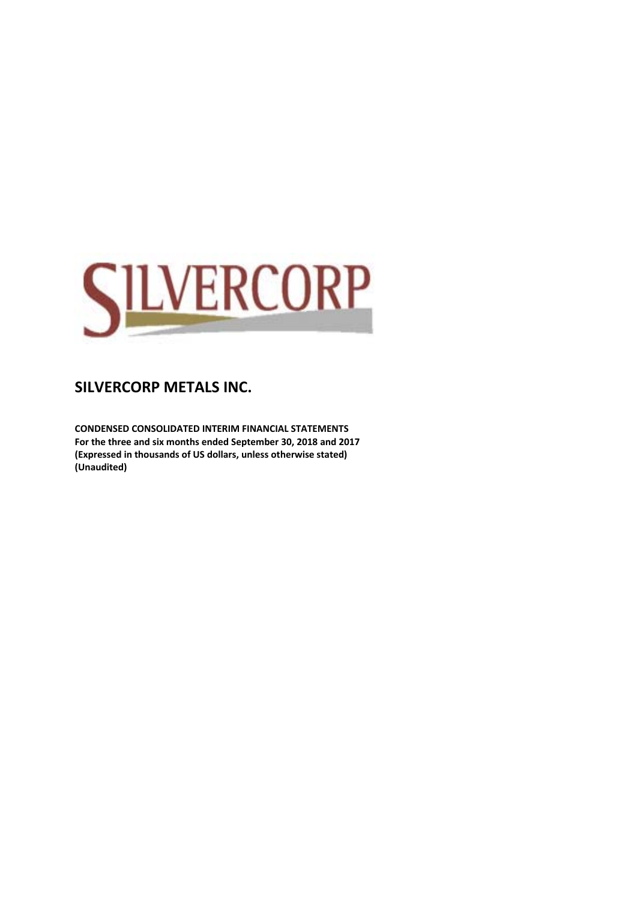

**CONDENSED CONSOLIDATED INTERIM FINANCIAL STATEMENTS For the three and six months ended September 30, 2018 and 2017 (Expressed in thousands of US dollars, unless otherwise stated) (Unaudited)**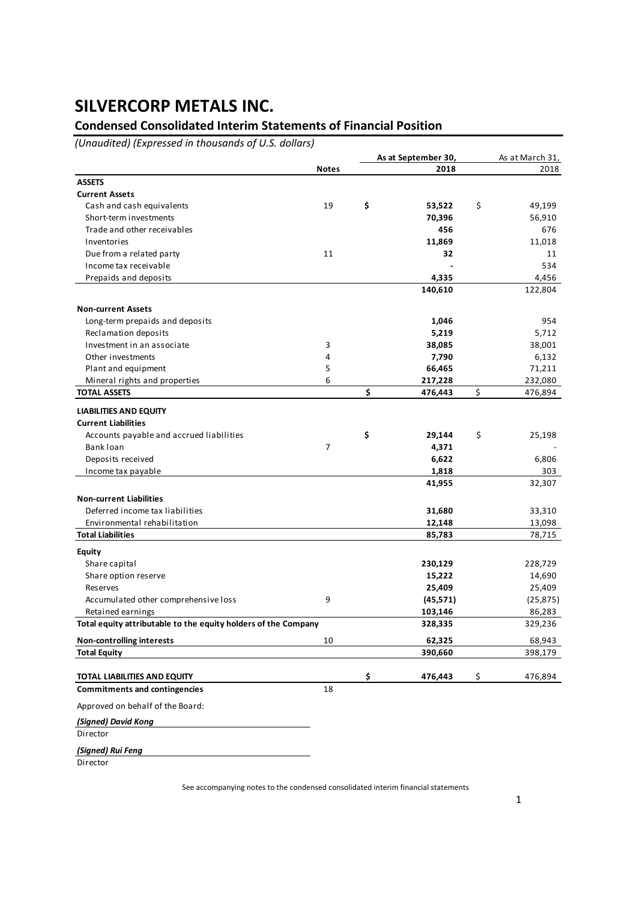### **Condensed Consolidated Interim Statements of Financial Position**

*(Unaudited) (Expressed in thousands of U.S. dollars)*

|                                                                |              | As at September 30, | As at March 31, |  |  |
|----------------------------------------------------------------|--------------|---------------------|-----------------|--|--|
|                                                                | <b>Notes</b> | 2018                | 2018            |  |  |
| <b>ASSETS</b>                                                  |              |                     |                 |  |  |
| <b>Current Assets</b>                                          |              |                     |                 |  |  |
| Cash and cash equivalents                                      | 19           | \$<br>53,522        | \$<br>49,199    |  |  |
| Short-term investments                                         |              | 70,396              | 56,910          |  |  |
| Trade and other receivables                                    |              | 456                 | 676             |  |  |
| Inventories                                                    |              | 11,869              | 11,018          |  |  |
| Due from a related party                                       | 11           | 32                  | 11              |  |  |
| Income tax receivable                                          |              |                     | 534             |  |  |
| Prepaids and deposits                                          |              | 4,335               | 4,456           |  |  |
|                                                                |              | 140,610             | 122,804         |  |  |
| <b>Non-current Assets</b>                                      |              |                     |                 |  |  |
| Long-term prepaids and deposits                                |              | 1,046               | 954             |  |  |
| Reclamation deposits                                           |              | 5,219               | 5,712           |  |  |
| Investment in an associate                                     | 3            | 38,085              | 38,001          |  |  |
| Other investments                                              | 4            | 7,790               | 6,132           |  |  |
| Plant and equipment                                            | 5            | 66,465              | 71,211          |  |  |
| Mineral rights and properties                                  | 6            | 217,228             | 232,080         |  |  |
| <b>TOTAL ASSETS</b>                                            |              | \$<br>476,443       | \$<br>476,894   |  |  |
|                                                                |              |                     |                 |  |  |
| <b>LIABILITIES AND EQUITY</b><br><b>Current Liabilities</b>    |              |                     |                 |  |  |
| Accounts payable and accrued liabilities                       |              | \$<br>29,144        | \$<br>25,198    |  |  |
| Bank loan                                                      | 7            | 4,371               |                 |  |  |
| Deposits received                                              |              | 6,622               | 6,806           |  |  |
| Income tax payable                                             |              | 1,818               | 303             |  |  |
|                                                                |              | 41,955              | 32,307          |  |  |
| <b>Non-current Liabilities</b>                                 |              |                     |                 |  |  |
| Deferred income tax liabilities                                |              | 31,680              | 33,310          |  |  |
| Environmental rehabilitation                                   |              | 12,148              | 13,098          |  |  |
| <b>Total Liabilities</b>                                       |              | 85,783              | 78,715          |  |  |
| <b>Equity</b>                                                  |              |                     |                 |  |  |
| Share capital                                                  |              | 230,129             | 228,729         |  |  |
| Share option reserve                                           |              | 15,222              | 14,690          |  |  |
| Reserves                                                       |              | 25,409              | 25,409          |  |  |
| Accumulated other comprehensive loss                           | 9            | (45, 571)           | (25, 875)       |  |  |
| Retained earnings                                              |              | 103,146             | 86,283          |  |  |
| Total equity attributable to the equity holders of the Company |              | 328,335             | 329,236         |  |  |
| <b>Non-controlling interests</b>                               | 10           | 62,325              | 68,943          |  |  |
| <b>Total Equity</b>                                            |              | 390,660             | 398,179         |  |  |
| TOTAL LIABILITIES AND EQUITY                                   |              | \$<br>476,443       | \$<br>476,894   |  |  |
| <b>Commitments and contingencies</b>                           | 18           |                     |                 |  |  |
| Approved on behalf of the Board:                               |              |                     |                 |  |  |
| (Signed) David Kong                                            |              |                     |                 |  |  |
| Director                                                       |              |                     |                 |  |  |
| (Signed) Rui Feng                                              |              |                     |                 |  |  |
| Director                                                       |              |                     |                 |  |  |

See accompanying notes to the condensed consolidated interim financial statements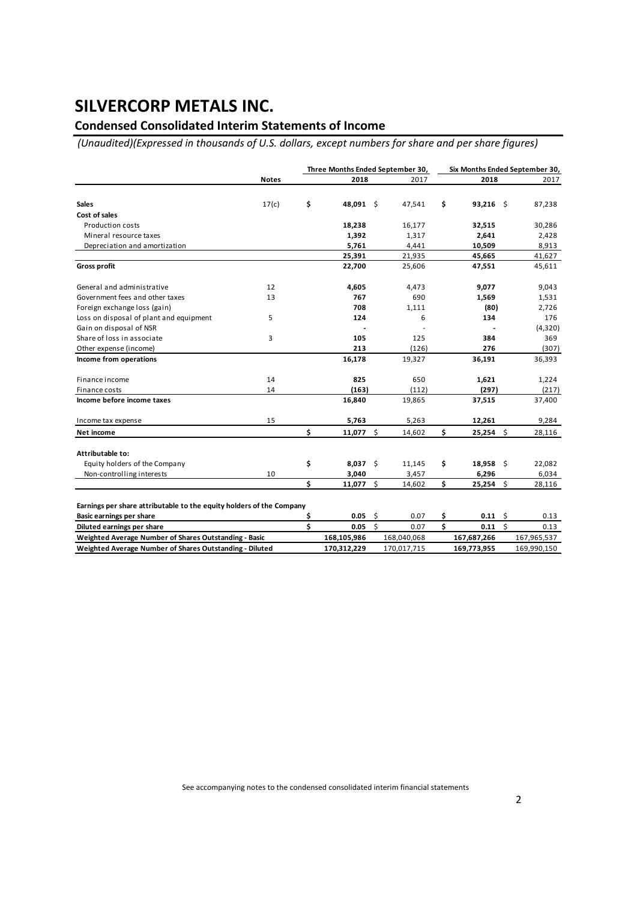### **Condensed Consolidated Interim Statements of Income**

*(Unaudited)(Expressed in thousands of U.S. dollars, except numbers for share and per share figures)*

|                                                                      |              | Three Months Ended September 30, | Six Months Ended September 30, |    |        |    |              |  |         |
|----------------------------------------------------------------------|--------------|----------------------------------|--------------------------------|----|--------|----|--------------|--|---------|
|                                                                      | <b>Notes</b> |                                  | 2018                           |    | 2017   |    | 2018         |  | 2017    |
|                                                                      |              |                                  |                                |    |        |    |              |  |         |
| <b>Sales</b><br>Cost of sales                                        | 17(c)        | \$                               | 48,091 \$                      |    | 47,541 | \$ | $93,216$ \$  |  | 87,238  |
|                                                                      |              |                                  |                                |    |        |    |              |  |         |
| <b>Production costs</b>                                              |              |                                  | 18,238                         |    | 16,177 |    | 32,515       |  | 30,286  |
| Mineral resource taxes                                               |              |                                  | 1,392                          |    | 1,317  |    | 2,641        |  | 2,428   |
| Depreciation and amortization                                        |              |                                  | 5,761                          |    | 4,441  |    | 10,509       |  | 8,913   |
|                                                                      |              |                                  | 25,391                         |    | 21,935 |    | 45,665       |  | 41,627  |
| <b>Gross profit</b>                                                  |              |                                  | 22,700                         |    | 25,606 |    | 47,551       |  | 45,611  |
| General and administrative                                           | 12           |                                  | 4,605                          |    | 4,473  |    | 9,077        |  | 9,043   |
| Government fees and other taxes                                      | 13           |                                  | 767                            |    | 690    |    | 1,569        |  | 1,531   |
| Foreign exchange loss (gain)                                         |              |                                  | 708                            |    | 1,111  |    | (80)         |  | 2,726   |
| Loss on disposal of plant and equipment                              | 5            |                                  | 124                            |    | 6      |    | 134          |  | 176     |
| Gain on disposal of NSR                                              |              |                                  |                                |    |        |    |              |  | (4,320) |
| Share of loss in associate                                           | 3            |                                  | 105                            |    | 125    |    | 384          |  | 369     |
| Other expense (income)                                               |              |                                  | 213                            |    | (126)  |    | 276          |  | (307)   |
| Income from operations                                               |              |                                  | 16,178                         |    | 19,327 |    | 36,191       |  | 36,393  |
| Finance income                                                       | 14           |                                  | 825                            |    | 650    |    | 1,621        |  | 1,224   |
| Finance costs                                                        | 14           |                                  | (163)                          |    | (112)  |    | (297)        |  | (217)   |
| Income before income taxes                                           |              |                                  | 16,840                         |    | 19,865 |    | 37,515       |  | 37,400  |
| Income tax expense                                                   | 15           |                                  | 5,763                          |    | 5,263  |    | 12,261       |  | 9,284   |
| Net income                                                           |              | \$                               | 11,077                         | \$ | 14,602 | \$ | $25,254$ \$  |  | 28,116  |
| Attributable to:                                                     |              |                                  |                                |    |        |    |              |  |         |
| Equity holders of the Company                                        |              | \$                               | $8,037$ \$                     |    | 11,145 | \$ | $18,958$ \$  |  | 22,082  |
| Non-controlling interests                                            | 10           |                                  | 3,040                          |    | 3,457  |    | 6,296        |  | 6,034   |
|                                                                      |              | \$.                              | 11,077                         | Ŝ. | 14,602 | \$ | $25,254$ \$  |  | 28,116  |
|                                                                      |              |                                  |                                |    |        |    |              |  |         |
| Earnings per share attributable to the equity holders of the Company |              |                                  |                                |    |        |    |              |  |         |
| <b>Basic earnings per share</b>                                      |              |                                  | $0.05 \quad$ \$                |    | 0.07   | \$ | $0.11 \pm 5$ |  | 0.13    |

| <b>Basic earnings per snare</b>                         | u.us        | U.U7        | <b>U.LL</b> |             |
|---------------------------------------------------------|-------------|-------------|-------------|-------------|
| Diluted earnings per share                              | 0.05        | 0.07        | 0.11        |             |
| Weighted Average Number of Shares Outstanding - Basic   | 168.105.986 | 168.040.068 | 167.687.266 | 167.965.537 |
| Weighted Average Number of Shares Outstanding - Diluted | 170.312.229 | 170.017.715 | 169.773.955 | 169.990.150 |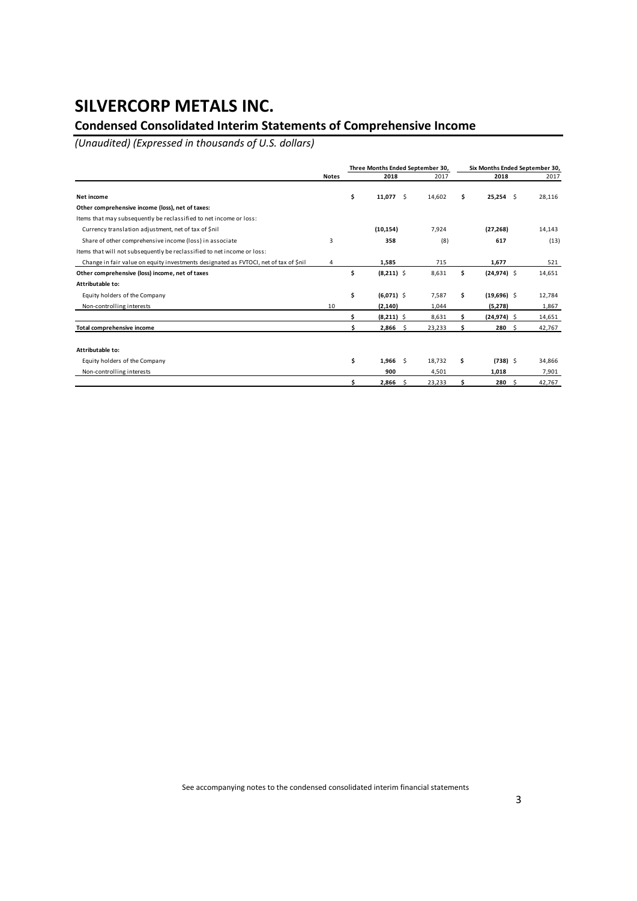### **Condensed Consolidated Interim Statements of Comprehensive Income**

*(Unaudited) (Expressed in thousands of U.S. dollars)*

|                                                                                      |              | Three Months Ended September 30, |        |     | Six Months Ended September 30, |        |
|--------------------------------------------------------------------------------------|--------------|----------------------------------|--------|-----|--------------------------------|--------|
|                                                                                      | <b>Notes</b> | 2018                             | 2017   |     | 2018                           | 2017   |
| Net income                                                                           |              | \$<br>11,077<br>-\$              | 14,602 | \$. | $25,254$ \$                    | 28,116 |
| Other comprehensive income (loss), net of taxes:                                     |              |                                  |        |     |                                |        |
| Items that may subsequently be reclassified to net income or loss:                   |              |                                  |        |     |                                |        |
| Currency translation adjustment, net of tax of \$nil                                 |              | (10, 154)                        | 7,924  |     | (27, 268)                      | 14,143 |
| Share of other comprehensive income (loss) in associate                              | 3            | 358                              | (8)    |     | 617                            | (13)   |
| Items that will not subsequently be reclassified to net income or loss:              |              |                                  |        |     |                                |        |
| Change in fair value on equity investments designated as FVTOCI, net of tax of \$nil | 4            | 1,585                            | 715    |     | 1,677                          | 521    |
| Other comprehensive (loss) income, net of taxes                                      |              | \$<br>$(8,211)$ \$               | 8,631  | Ś.  | $(24, 974)$ \$                 | 14,651 |
| Attributable to:                                                                     |              |                                  |        |     |                                |        |
| Equity holders of the Company                                                        |              | \$<br>$(6,071)$ \$               | 7,587  | s   | $(19,696)$ \$                  | 12,784 |
| Non-controlling interests                                                            | 10           | (2, 140)                         | 1,044  |     | (5,278)                        | 1,867  |
|                                                                                      |              | \$<br>$(8,211)$ \$               | 8,631  |     | $(24, 974)$ \$                 | 14,651 |
| Total comprehensive income                                                           |              | 2,866<br>\$.                     | 23,233 |     | 280<br>-S                      | 42,767 |
| Attributable to:                                                                     |              |                                  |        |     |                                |        |
| Equity holders of the Company                                                        |              | \$<br>1,966<br>-Ś                | 18.732 | \$  | $(738)$ \$                     | 34,866 |
| Non-controlling interests                                                            |              | 900                              | 4,501  |     | 1,018                          | 7,901  |
|                                                                                      |              | 2,866<br>-Ś                      | 23,233 |     | 280<br>-S                      | 42,767 |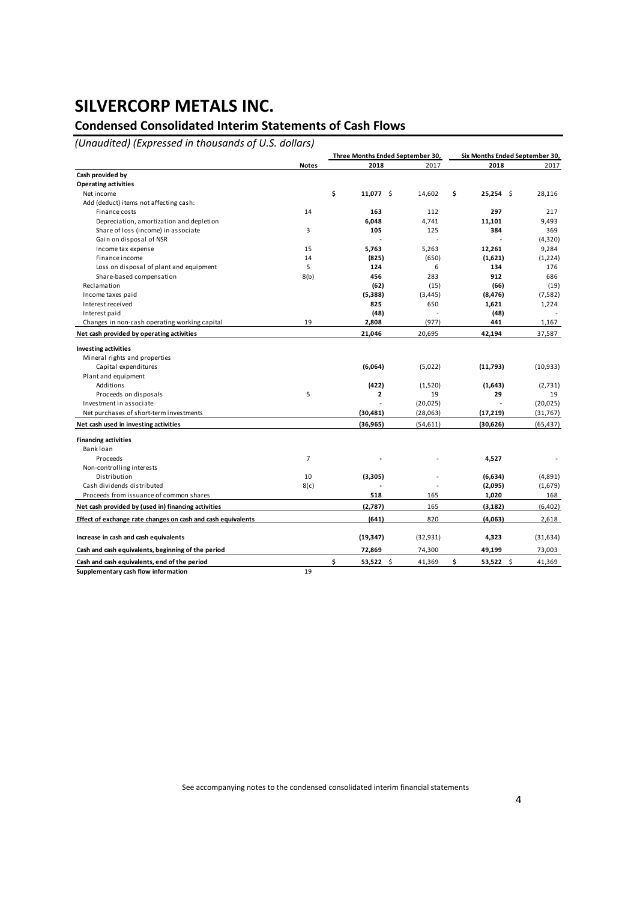### **Condensed Consolidated Interim Statements of Cash Flows**

*(Unaudited) (Expressed in thousands of U.S. dollars)*

|                                                              |                | Three Months Ended September 30, |           | Six Months Ended September 30, |           |  |
|--------------------------------------------------------------|----------------|----------------------------------|-----------|--------------------------------|-----------|--|
|                                                              | <b>Notes</b>   | 2018                             | 2017      | 2018                           | 2017      |  |
| Cash provided by                                             |                |                                  |           |                                |           |  |
| <b>Operating activities</b>                                  |                |                                  |           |                                |           |  |
| Net income                                                   |                | \$<br>11,077 \$                  | 14,602    | \$<br>$25,254$ \$              | 28,116    |  |
| Add (deduct) items not affecting cash:                       |                |                                  |           |                                |           |  |
| Finance costs                                                | 14             | 163                              | 112       | 297                            | 217       |  |
| Depreciation, amortization and depletion                     |                | 6,048                            | 4,741     | 11,101                         | 9,493     |  |
| Share of loss (income) in associate                          | 3              | 105                              | 125       | 384                            | 369       |  |
| Gain on disposal of NSR                                      |                |                                  |           |                                | (4,320)   |  |
| Income tax expense                                           | 15             | 5,763                            | 5,263     | 12,261                         | 9,284     |  |
| Finance income                                               | 14             | (825)                            | (650)     | (1,621)                        | (1,224)   |  |
| Loss on disposal of plant and equipment                      | 5              | 124                              | 6         | 134                            | 176       |  |
| Share-based compensation                                     | 8(b)           | 456                              | 283       | 912                            | 686       |  |
| Reclamation                                                  |                | (62)                             | (15)      | (66)                           | (19)      |  |
| Income taxes paid                                            |                | (5,388)                          | (3, 445)  | (8, 476)                       | (7, 582)  |  |
| Interest received                                            |                | 825                              | 650       | 1,621                          | 1,224     |  |
| Interest paid                                                |                | (48)                             | ÷,        | (48)                           |           |  |
| Changes in non-cash operating working capital                | 19             | 2,808                            | (977)     | 441                            | 1,167     |  |
| Net cash provided by operating activities                    |                | 21,046                           | 20,695    | 42,194                         | 37,587    |  |
| <b>Investing activities</b>                                  |                |                                  |           |                                |           |  |
| Mineral rights and properties                                |                |                                  |           |                                |           |  |
| Capital expenditures                                         |                | (6,064)                          | (5,022)   | (11,793)                       | (10, 933) |  |
| Plant and equipment                                          |                |                                  |           |                                |           |  |
| Additions                                                    |                | (422)                            | (1,520)   | (1,643)                        | (2,731)   |  |
| Proceeds on disposals                                        | 5              | 2                                | 19        | 29                             | 19        |  |
| Investment in associate                                      |                |                                  | (20, 025) |                                | (20, 025) |  |
| Net purchases of short-term investments                      |                | (30, 481)                        | (28,063)  | (17, 219)                      | (31, 767) |  |
| Net cash used in investing activities                        |                | (36, 965)                        | (54, 611) | (30,626)                       | (65, 437) |  |
| <b>Financing activities</b>                                  |                |                                  |           |                                |           |  |
| Bank loan                                                    |                |                                  |           |                                |           |  |
| Proceeds                                                     | $\overline{7}$ |                                  |           | 4,527                          |           |  |
| Non-controlling interests                                    |                |                                  |           |                                |           |  |
| Distribution                                                 | 10             | (3,305)                          |           | (6,634)                        | (4,891)   |  |
| Cash dividends distributed                                   | 8(c)           |                                  |           | (2,095)                        | (1,679)   |  |
| Proceeds from issuance of common shares                      |                | 518                              | 165       | 1,020                          | 168       |  |
| Net cash provided by (used in) financing activities          |                | (2,787)                          | 165       | (3, 182)                       | (6,402)   |  |
| Effect of exchange rate changes on cash and cash equivalents |                | (641)                            | 820       | (4,063)                        | 2,618     |  |
|                                                              |                |                                  |           |                                |           |  |
| Increase in cash and cash equivalents                        |                | (19, 347)                        | (32, 931) | 4,323                          | (31, 634) |  |
| Cash and cash equivalents, beginning of the period           |                | 72,869                           | 74,300    | 49,199                         | 73,003    |  |
| Cash and cash equivalents, end of the period                 |                | \$<br>$53,522$ \$                | 41,369    | \$<br>$53,522$ \$              | 41,369    |  |
| Supplementary cash flow information                          | 19             |                                  |           |                                |           |  |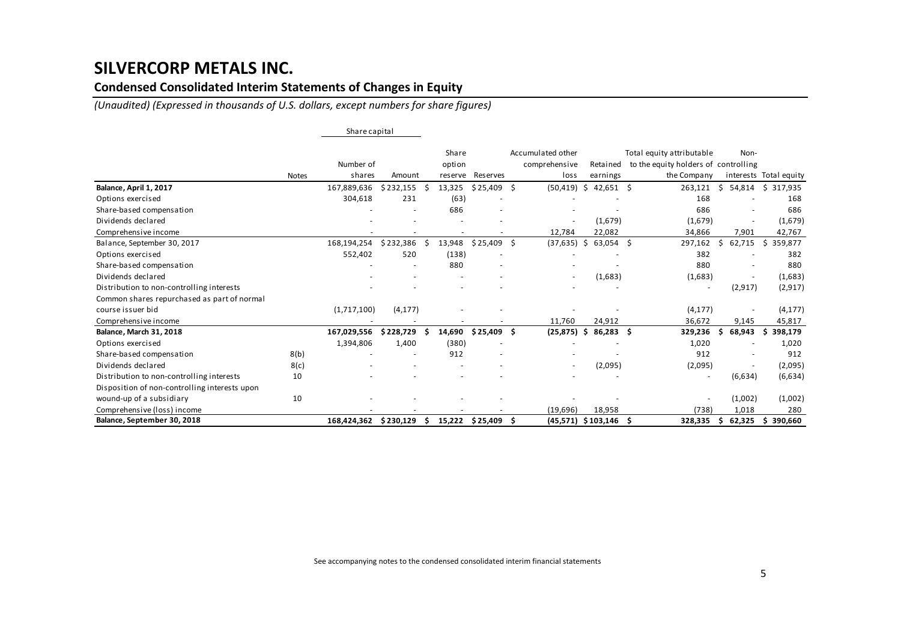### **Condensed Consolidated Interim Statements of Changes in Equity**

*(Unaudited) (Expressed in thousands of U.S. dollars, except numbers for share figures)*

|                                               |              | Share capital |                          |    |                 |                          |    |                                    |    |                         |                                                                   |    |                          |                        |
|-----------------------------------------------|--------------|---------------|--------------------------|----|-----------------|--------------------------|----|------------------------------------|----|-------------------------|-------------------------------------------------------------------|----|--------------------------|------------------------|
|                                               |              | Number of     |                          |    | Share<br>option |                          |    | Accumulated other<br>comprehensive |    | Retained                | Total equity attributable<br>to the equity holders of controlling |    | Non-                     |                        |
|                                               | <b>Notes</b> | shares        | Amount                   |    | reserve         | Reserves                 |    | loss                               |    | earnings                | the Company                                                       |    |                          | interests Total equity |
| Balance, April 1, 2017                        |              | 167,889,636   | \$232,155                |    | 13,325          | \$25,409                 | Ŝ. | (50, 419)                          | \$ | $42,651$ \$             | 263,121                                                           | Ś. | 54,814                   | \$317,935              |
| Options exercised                             |              | 304,618       | 231                      |    | (63)            |                          |    |                                    |    |                         | 168                                                               |    |                          | 168                    |
| Share-based compensation                      |              |               |                          |    | 686             |                          |    |                                    |    |                         | 686                                                               |    |                          | 686                    |
| Dividends declared                            |              |               |                          |    |                 |                          |    | $\overline{\phantom{a}}$           |    | (1,679)                 | (1,679)                                                           |    | $\overline{\phantom{a}}$ | (1,679)                |
| Comprehensive income                          |              |               |                          |    |                 |                          |    | 12,784                             |    | 22,082                  | 34,866                                                            |    | 7,901                    | 42,767                 |
| Balance, September 30, 2017                   |              | 168,194,254   | \$232,386                |    | 13,948          | $$25,409$ \$             |    | (37, 635)                          | S. | $63,054$ \$             | 297,162                                                           | Ŝ  | 62,715                   | 359,877<br>S.          |
| Options exercised                             |              | 552,402       | 520                      |    | (138)           |                          |    |                                    |    |                         | 382                                                               |    |                          | 382                    |
| Share-based compensation                      |              |               | $\overline{\phantom{a}}$ |    | 880             | $\overline{\phantom{a}}$ |    |                                    |    |                         | 880                                                               |    |                          | 880                    |
| Dividends declared                            |              |               |                          |    |                 |                          |    | $\overline{\phantom{a}}$           |    | (1,683)                 | (1,683)                                                           |    | $\overline{\phantom{a}}$ | (1,683)                |
| Distribution to non-controlling interests     |              |               |                          |    |                 |                          |    |                                    |    |                         | $\overline{\phantom{a}}$                                          |    | (2, 917)                 | (2, 917)               |
| Common shares repurchased as part of normal   |              |               |                          |    |                 |                          |    |                                    |    |                         |                                                                   |    |                          |                        |
| course issuer bid                             |              | (1,717,100)   | (4, 177)                 |    |                 |                          |    |                                    |    |                         | (4, 177)                                                          |    |                          | (4, 177)               |
| Comprehensive income                          |              |               |                          |    |                 |                          |    | 11,760                             |    | 24,912                  | 36,672                                                            |    | 9,145                    | 45,817                 |
| <b>Balance, March 31, 2018</b>                |              | 167,029,556   | \$228,729                |    | 14,690          | \$ 25,409                | .S | (25, 875)                          | -S | $86,283$ \$             | 329,236                                                           |    | 68,943                   | 398,179<br>Ŝ.          |
| Options exercised                             |              | 1,394,806     | 1,400                    |    | (380)           |                          |    |                                    |    |                         | 1,020                                                             |    |                          | 1,020                  |
| Share-based compensation                      | 8(b)         |               |                          |    | 912             |                          |    |                                    |    |                         | 912                                                               |    |                          | 912                    |
| Dividends declared                            | 8(c)         |               |                          |    |                 |                          |    | $\overline{\phantom{a}}$           |    | (2,095)                 | (2,095)                                                           |    |                          | (2,095)                |
| Distribution to non-controlling interests     | 10           |               |                          |    |                 |                          |    |                                    |    |                         | $\overline{\phantom{a}}$                                          |    | (6,634)                  | (6,634)                |
| Disposition of non-controlling interests upon |              |               |                          |    |                 |                          |    |                                    |    |                         |                                                                   |    |                          |                        |
| wound-up of a subsidiary                      | 10           |               |                          |    |                 |                          |    |                                    |    |                         | $\overline{\phantom{a}}$                                          |    | (1,002)                  | (1,002)                |
| Comprehensive (loss) income                   |              |               |                          |    |                 |                          |    | (19, 696)                          |    | 18,958                  | (738)                                                             |    | 1,018                    | 280                    |
| Balance, September 30, 2018                   |              | 168,424,362   | \$230,129                | -S |                 | 15,222 \$25,409 \$       |    |                                    |    | $(45,571)$ \$103,146 \$ | 328,335                                                           |    | 62,325                   | 390,660<br>\$.         |

See accompanying notes to the condensed consolidated interim financial statements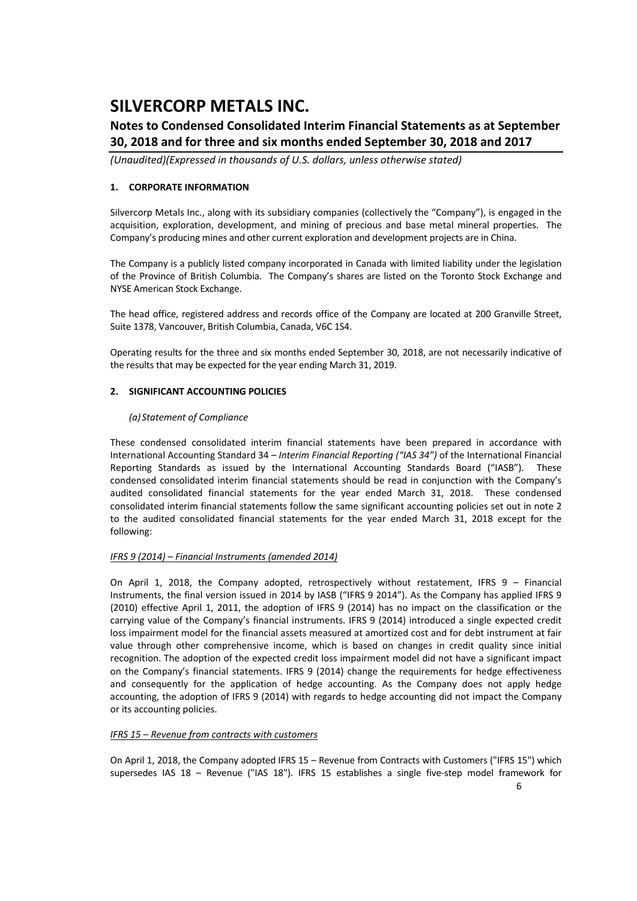### **Notes to Condensed Consolidated Interim Financial Statements as at September 30, 2018 and for three and six months ended September 30, 2018 and 2017**

*(Unaudited)(Expressed in thousands of U.S. dollars, unless otherwise stated)*

### **1. CORPORATE INFORMATION**

Silvercorp Metals Inc., along with its subsidiary companies (collectively the "Company"), is engaged in the acquisition, exploration, development, and mining of precious and base metal mineral properties. The Company's producing mines and other current exploration and development projects are in China.

The Company is a publicly listed company incorporated in Canada with limited liability under the legislation of the Province of British Columbia. The Company's shares are listed on the Toronto Stock Exchange and NYSE American Stock Exchange.

The head office, registered address and records office of the Company are located at 200 Granville Street, Suite 1378, Vancouver, British Columbia, Canada, V6C 1S4.

Operating results for the three and six months ended September 30, 2018, are not necessarily indicative of the results that may be expected for the year ending March 31, 2019.

### **2. SIGNIFICANT ACCOUNTING POLICIES**

### *(a) Statement of Compliance*

These condensed consolidated interim financial statements have been prepared in accordance with International Accounting Standard 34 – *Interim Financial Reporting ("IAS 34")* of the International Financial Reporting Standards as issued by the International Accounting Standards Board ("IASB"). These condensed consolidated interim financial statements should be read in conjunction with the Company's audited consolidated financial statements for the year ended March 31, 2018. These condensed consolidated interim financial statements follow the same significant accounting policies set out in note 2 to the audited consolidated financial statements for the year ended March 31, 2018 except for the following:

### *IFRS 9 (2014) – Financial Instruments (amended 2014)*

On April 1, 2018, the Company adopted, retrospectively without restatement, IFRS  $9 -$  Financial Instruments, the final version issued in 2014 by IASB ("IFRS 9 2014"). As the Company has applied IFRS 9 (2010) effective April 1, 2011, the adoption of IFRS 9 (2014) has no impact on the classification or the carrying value of the Company's financial instruments. IFRS 9 (2014) introduced a single expected credit loss impairment model for the financial assets measured at amortized cost and for debt instrument at fair value through other comprehensive income, which is based on changes in credit quality since initial recognition. The adoption of the expected credit loss impairment model did not have a significant impact on the Company's financial statements. IFRS 9 (2014) change the requirements for hedge effectiveness and consequently for the application of hedge accounting. As the Company does not apply hedge accounting, the adoption of IFRS 9 (2014) with regards to hedge accounting did not impact the Company or its accounting policies.

### *IFRS 15 – Revenue from contracts with customers*

On April 1, 2018, the Company adopted IFRS 15 – Revenue from Contracts with Customers ("IFRS 15") which supersedes IAS 18 – Revenue ("IAS 18"). IFRS 15 establishes a single five-step model framework for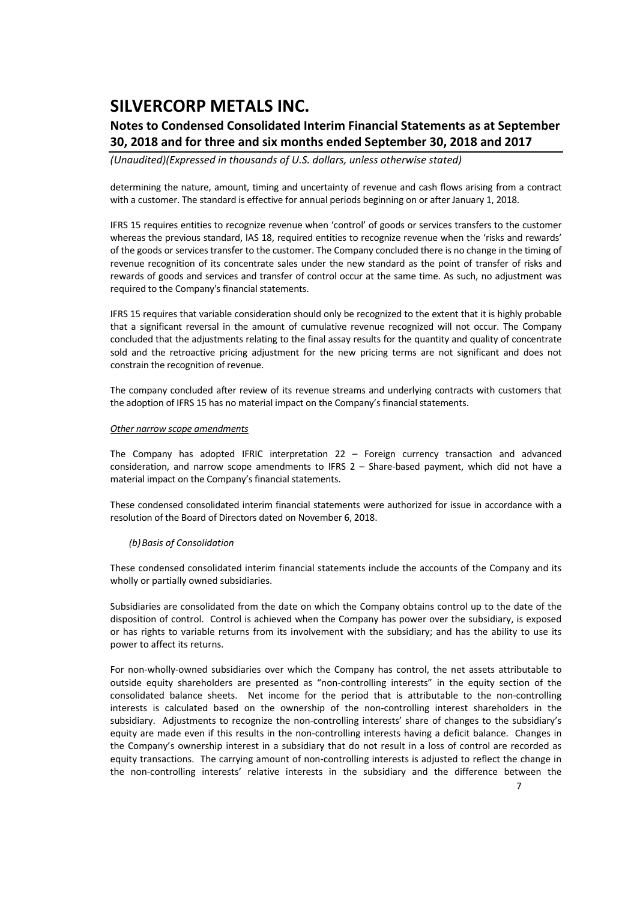### **Notes to Condensed Consolidated Interim Financial Statements as at September 30, 2018 and for three and six months ended September 30, 2018 and 2017**

*(Unaudited)(Expressed in thousands of U.S. dollars, unless otherwise stated)*

determining the nature, amount, timing and uncertainty of revenue and cash flows arising from a contract with a customer. The standard is effective for annual periods beginning on or after January 1, 2018.

IFRS 15 requires entities to recognize revenue when 'control' of goods or services transfers to the customer whereas the previous standard, IAS 18, required entities to recognize revenue when the 'risks and rewards' of the goods or services transfer to the customer. The Company concluded there is no change in the timing of revenue recognition of its concentrate sales under the new standard as the point of transfer of risks and rewards of goods and services and transfer of control occur at the same time. As such, no adjustment was required to the Company's financial statements.

IFRS 15 requires that variable consideration should only be recognized to the extent that it is highly probable that a significant reversal in the amount of cumulative revenue recognized will not occur. The Company concluded that the adjustments relating to the final assay results for the quantity and quality of concentrate sold and the retroactive pricing adjustment for the new pricing terms are not significant and does not constrain the recognition of revenue.

The company concluded after review of its revenue streams and underlying contracts with customers that the adoption of IFRS 15 has no material impact on the Company's financial statements.

#### *Other narrow scope amendments*

The Company has adopted IFRIC interpretation 22 – Foreign currency transaction and advanced consideration, and narrow scope amendments to IFRS 2 - Share-based payment, which did not have a material impact on the Company's financial statements.

These condensed consolidated interim financial statements were authorized for issue in accordance with a resolution of the Board of Directors dated on November 6, 2018.

#### *(b)Basis of Consolidation*

These condensed consolidated interim financial statements include the accounts of the Company and its wholly or partially owned subsidiaries.

Subsidiaries are consolidated from the date on which the Company obtains control up to the date of the disposition of control. Control is achieved when the Company has power over the subsidiary, is exposed or has rights to variable returns from its involvement with the subsidiary; and has the ability to use its power to affect its returns.

For non‐wholly‐owned subsidiaries over which the Company has control, the net assets attributable to outside equity shareholders are presented as "non‐controlling interests" in the equity section of the consolidated balance sheets. Net income for the period that is attributable to the non-controlling interests is calculated based on the ownership of the non-controlling interest shareholders in the subsidiary. Adjustments to recognize the non-controlling interests' share of changes to the subsidiary's equity are made even if this results in the non-controlling interests having a deficit balance. Changes in the Company's ownership interest in a subsidiary that do not result in a loss of control are recorded as equity transactions. The carrying amount of non‐controlling interests is adjusted to reflect the change in the non‐controlling interests' relative interests in the subsidiary and the difference between the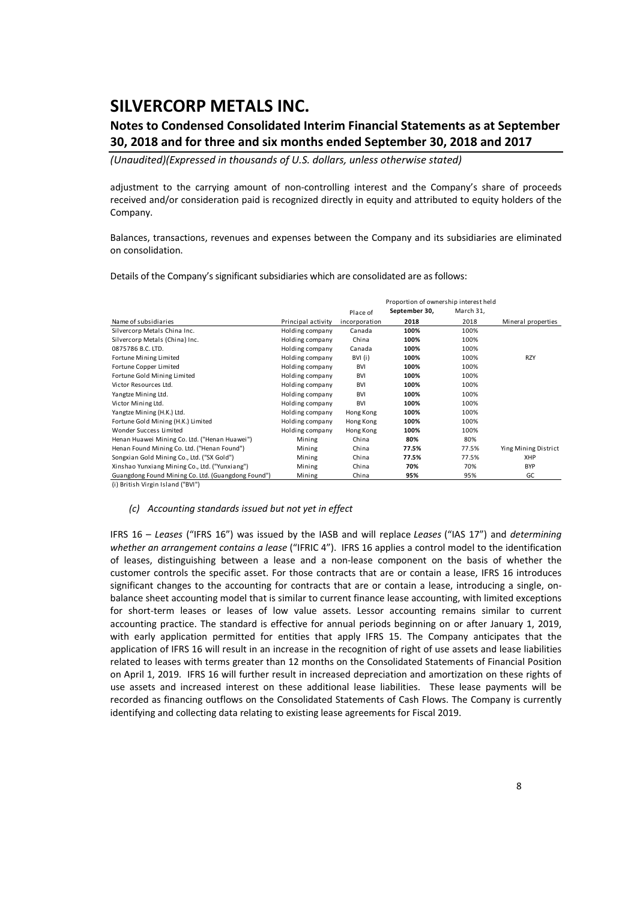### **Notes to Condensed Consolidated Interim Financial Statements as at September 30, 2018 and for three and six months ended September 30, 2018 and 2017**

*(Unaudited)(Expressed in thousands of U.S. dollars, unless otherwise stated)*

adjustment to the carrying amount of non-controlling interest and the Company's share of proceeds received and/or consideration paid is recognized directly in equity and attributed to equity holders of the Company.

Balances, transactions, revenues and expenses between the Company and its subsidiaries are eliminated on consolidation.

Details of the Company's significant subsidiaries which are consolidated are as follows:

|                                                    |                    |               | Proportion of ownership interest held |           |                      |
|----------------------------------------------------|--------------------|---------------|---------------------------------------|-----------|----------------------|
|                                                    |                    | Place of      | September 30,                         | March 31, |                      |
| Name of subsidiaries                               | Principal activity | incorporation | 2018                                  | 2018      | Mineral properties   |
| Silvercorp Metals China Inc.                       | Holding company    | Canada        | 100%                                  | 100%      |                      |
| Silvercorp Metals (China) Inc.                     | Holding company    | China         | 100%                                  | 100%      |                      |
| 0875786 B.C. LTD.                                  | Holding company    | Canada        | 100%                                  | 100%      |                      |
| Fortune Mining Limited                             | Holding company    | BVI (i)       | 100%                                  | 100%      | <b>RZY</b>           |
| Fortune Copper Limited                             | Holding company    | <b>BVI</b>    | 100%                                  | 100%      |                      |
| Fortune Gold Mining Limited                        | Holding company    | <b>BVI</b>    | 100%                                  | 100%      |                      |
| Victor Resources Ltd.                              | Holding company    | <b>BVI</b>    | 100%                                  | 100%      |                      |
| Yangtze Mining Ltd.                                | Holding company    | <b>BVI</b>    | 100%                                  | 100%      |                      |
| Victor Mining Ltd.                                 | Holding company    | <b>BVI</b>    | 100%                                  | 100%      |                      |
| Yangtze Mining (H.K.) Ltd.                         | Holding company    | Hong Kong     | 100%                                  | 100%      |                      |
| Fortune Gold Mining (H.K.) Limited                 | Holding company    | Hong Kong     | 100%                                  | 100%      |                      |
| Wonder Success Limited                             | Holding company    | Hong Kong     | 100%                                  | 100%      |                      |
| Henan Huawei Mining Co. Ltd. ("Henan Huawei")      | Mining             | China         | 80%                                   | 80%       |                      |
| Henan Found Mining Co. Ltd. ("Henan Found")        | Mining             | China         | 77.5%                                 | 77.5%     | Ying Mining District |
| Songxian Gold Mining Co., Ltd. ("SX Gold")         | Mining             | China         | 77.5%                                 | 77.5%     | XHP                  |
| Xinshao Yunxiang Mining Co., Ltd. ("Yunxiang")     | Mining             | China         | 70%                                   | 70%       | <b>BYP</b>           |
| Guangdong Found Mining Co. Ltd. (Guangdong Found") | Mining             | China         | 95%                                   | 95%       | GC                   |

(i) British Virgin Island ("BVI")

#### *(c) Accounting standards issued but not yet in effect*

IFRS 16 – *Leases* ("IFRS 16") was issued by the IASB and will replace *Leases* ("IAS 17") and *determining whether an arrangement contains a lease* ("IFRIC 4"). IFRS 16 applies a control model to the identification of leases, distinguishing between a lease and a non‐lease component on the basis of whether the customer controls the specific asset. For those contracts that are or contain a lease, IFRS 16 introduces significant changes to the accounting for contracts that are or contain a lease, introducing a single, onbalance sheet accounting model that is similar to current finance lease accounting, with limited exceptions for short-term leases or leases of low value assets. Lessor accounting remains similar to current accounting practice. The standard is effective for annual periods beginning on or after January 1, 2019, with early application permitted for entities that apply IFRS 15. The Company anticipates that the application of IFRS 16 will result in an increase in the recognition of right of use assets and lease liabilities related to leases with terms greater than 12 months on the Consolidated Statements of Financial Position on April 1, 2019. IFRS 16 will further result in increased depreciation and amortization on these rights of use assets and increased interest on these additional lease liabilities. These lease payments will be recorded as financing outflows on the Consolidated Statements of Cash Flows. The Company is currently identifying and collecting data relating to existing lease agreements for Fiscal 2019.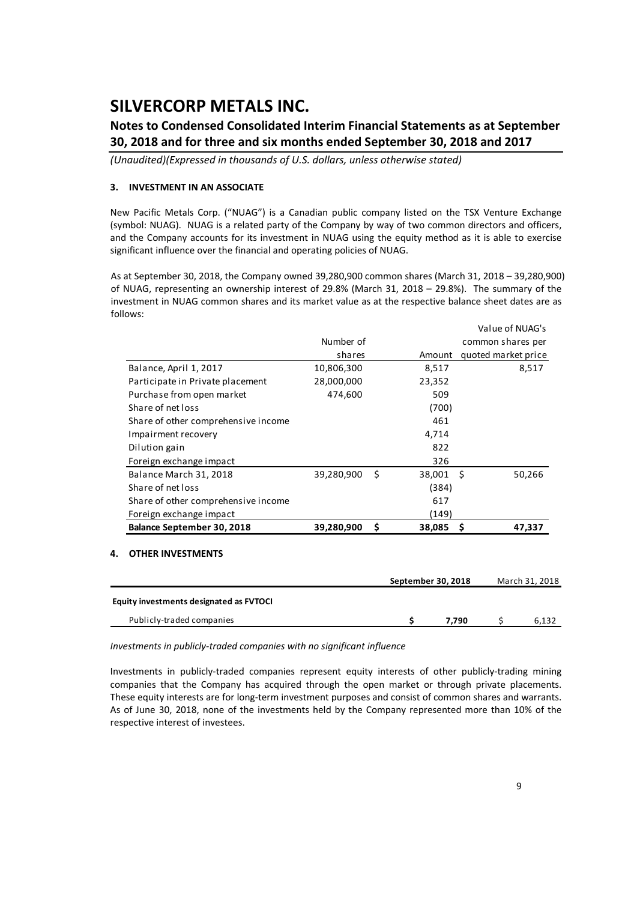### **Notes to Condensed Consolidated Interim Financial Statements as at September 30, 2018 and for three and six months ended September 30, 2018 and 2017**

*(Unaudited)(Expressed in thousands of U.S. dollars, unless otherwise stated)*

### **3. INVESTMENT IN AN ASSOCIATE**

New Pacific Metals Corp. ("NUAG") is a Canadian public company listed on the TSX Venture Exchange (symbol: NUAG). NUAG is a related party of the Company by way of two common directors and officers, and the Company accounts for its investment in NUAG using the equity method as it is able to exercise significant influence over the financial and operating policies of NUAG.

As at September 30, 2018, the Company owned 39,280,900 common shares (March 31, 2018 – 39,280,900) of NUAG, representing an ownership interest of 29.8% (March 31, 2018 – 29.8%). The summary of the investment in NUAG common shares and its market value as at the respective balance sheet dates are as follows:

|                                     |            |      |        | VAIUC VIIVUAU S     |
|-------------------------------------|------------|------|--------|---------------------|
|                                     | Number of  |      |        | common shares per   |
|                                     | shares     |      | Amount | quoted market price |
| Balance, April 1, 2017              | 10,806,300 |      | 8,517  | 8,517               |
| Participate in Private placement    | 28,000,000 |      | 23,352 |                     |
| Purchase from open market           | 474,600    |      | 509    |                     |
| Share of net loss                   |            |      | (700)  |                     |
| Share of other comprehensive income |            |      | 461    |                     |
| Impairment recovery                 |            |      | 4,714  |                     |
| Dilution gain                       |            |      | 822    |                     |
| Foreign exchange impact             |            |      | 326    |                     |
| Balance March 31, 2018              | 39,280,900 | - \$ | 38,001 | - \$<br>50,266      |
| Share of net loss                   |            |      | (384)  |                     |
| Share of other comprehensive income |            |      | 617    |                     |
| Foreign exchange impact             |            |      | (149)  |                     |
| Balance September 30, 2018          | 39,280,900 | \$   | 38,085 | 47,337              |
|                                     |            |      |        |                     |

### **4. OTHER INVESTMENTS**

|                                         | September 30, 2018 |       | March 31, 2018 |
|-----------------------------------------|--------------------|-------|----------------|
| Equity investments designated as FVTOCI |                    |       |                |
| Publicly-traded companies               |                    | 7.790 | 6.132          |

*Investments in publicly‐traded companies with no significant influence*

Investments in publicly‐traded companies represent equity interests of other publicly‐trading mining companies that the Company has acquired through the open market or through private placements. These equity interests are for long-term investment purposes and consist of common shares and warrants. As of June 30, 2018, none of the investments held by the Company represented more than 10% of the respective interest of investees.

Value of NUAG's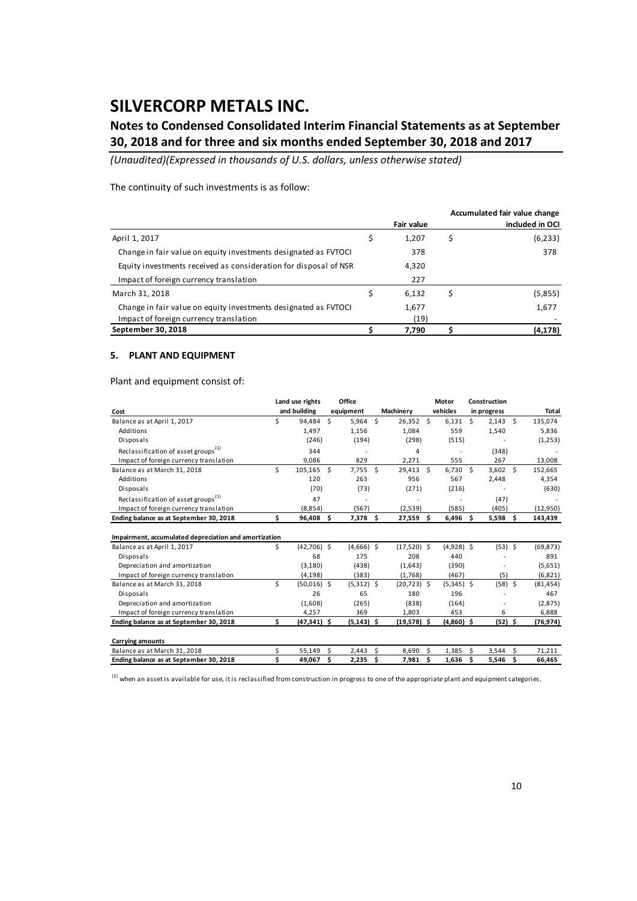### **Notes to Condensed Consolidated Interim Financial Statements as at September 30, 2018 and for three and six months ended September 30, 2018 and 2017**

*(Unaudited)(Expressed in thousands of U.S. dollars, unless otherwise stated)*

The continuity of such investments is as follow:

|                                                                  |                   | Accumulated fair value change |
|------------------------------------------------------------------|-------------------|-------------------------------|
|                                                                  | <b>Fair value</b> | included in OCI               |
| April 1, 2017                                                    | 1,207             | (6, 233)                      |
| Change in fair value on equity investments designated as FVTOCI  | 378               | 378                           |
| Equity investments received as consideration for disposal of NSR | 4,320             |                               |
| Impact of foreign currency translation                           | 227               |                               |
| March 31, 2018                                                   | 6,132             | \$<br>(5,855)                 |
| Change in fair value on equity investments designated as FVTOCI  | 1,677             | 1,677                         |
| Impact of foreign currency translation                           | (19)              |                               |
| September 30, 2018                                               | 7,790             | (4, 178)                      |

#### **5. PLANT AND EQUIPMENT**

Plant and equipment consist of:

|                                                       |    | Land use rights |    | Office        |    |                |   | Motor        |   | Construction |     |           |
|-------------------------------------------------------|----|-----------------|----|---------------|----|----------------|---|--------------|---|--------------|-----|-----------|
| Cost                                                  |    | and building    |    | equipment     |    | Machinery      |   | vehicles     |   | in progress  |     | Total     |
| Balance as at April 1, 2017                           | Ś  | 94.484          | Ś  | $5,964$ \$    |    | $26,352$ \$    |   | 6.131        | Ś | $2,143$ \$   |     | 135,074   |
| Additions                                             |    | 1,497           |    | 1,156         |    | 1,084          |   | 559          |   | 1,540        |     | 5,836     |
| Disposals                                             |    | (246)           |    | (194)         |    | (298)          |   | (515)        |   |              |     | (1,253)   |
| Reclassification of asset groups <sup>(1)</sup>       |    | 344             |    |               |    | 4              |   |              |   | (348)        |     |           |
| Impact of foreign currency translation                |    | 9,086           |    | 829           |    | 2,271          |   | 555          |   | 267          |     | 13,008    |
| Balance as at March 31, 2018                          | Ś  | 105,165 \$      |    | $7,755$ \$    |    | 29,413 \$      |   | $6,730$ \$   |   | $3,602$ \$   |     | 152,665   |
| Additions                                             |    | 120             |    | 263           |    | 956            |   | 567          |   | 2,448        |     | 4,354     |
| Disposals                                             |    | (70)            |    | (73)          |    | (271)          |   | (216)        |   |              |     | (630)     |
| Reclassification of asset groups <sup>(1)</sup>       |    | 47              |    |               |    |                |   |              |   | (47)         |     |           |
| Impact of foreign currency translation                |    | (8,854)         |    | (567)         |    | (2,539)        |   | (585)        |   | (405)        |     | (12,950)  |
| Ending balance as at September 30, 2018               | Ś. | 96,408 \$       |    | 7,378 \$      |    | 27,559 \$      |   | $6,496$ \$   |   | $5,598$ \$   |     | 143,439   |
| Impairment, accumulated depreciation and amortization |    |                 |    |               |    |                |   |              |   |              |     |           |
| Balance as at April 1, 2017                           | \$ | $(42,706)$ \$   |    | $(4,666)$ \$  |    | $(17,520)$ \$  |   | $(4,928)$ \$ |   | $(53)$ \$    |     | (69, 873) |
| Disposals                                             |    | 68              |    | 175           |    | 208            |   | 440          |   |              |     | 891       |
| Depreciation and amortization                         |    | (3, 180)        |    | (438)         |    | (1,643)        |   | (390)        |   |              |     | (5,651)   |
| Impact of foreign currency translation                |    | (4, 198)        |    | (383)         |    | (1,768)        |   | (467)        |   | (5)          |     | (6, 821)  |
| Balance as at March 31, 2018                          | Ś  | $(50,016)$ \$   |    | $(5,312)$ \$  |    | $(20, 723)$ \$ |   | $(5,345)$ \$ |   | $(58)$ \$    |     | (81, 454) |
| Disposals                                             |    | 26              |    | 65            |    | 180            |   | 196          |   |              |     | 467       |
| Depreciation and amortization                         |    | (1,608)         |    | (265)         |    | (838)          |   | (164)        |   |              |     | (2,875)   |
| Impact of foreign currency translation                |    | 4,257           |    | 369           |    | 1,803          |   | 453          |   | 6            |     | 6,888     |
| Ending balance as at September 30, 2018               | Ś. | $(47, 341)$ \$  |    | $(5, 143)$ \$ |    | $(19,578)$ \$  |   | $(4,860)$ \$ |   | (52) \$      |     | (76,974)  |
| <b>Carrying amounts</b>                               |    |                 |    |               |    |                |   |              |   |              |     |           |
| Balance as at March 31, 2018                          | Ś  | 55,149          | Ś. | 2,443         | Ś. | 8,690          | Ŝ | 1,385        | Ŝ | 3,544        | - Ś | 71,211    |
| Ending balance as at September 30, 2018               | Ś  | 49,067          | Ś. | 2,235         | Ś  | 7.981          | Ś | 1,636        | Ś | 5,546        | Ś.  | 66,465    |

 $^{(1)}$  when an asset is available for use, it is reclassified from construction in progress to one of the appropriate plant and equipment categories.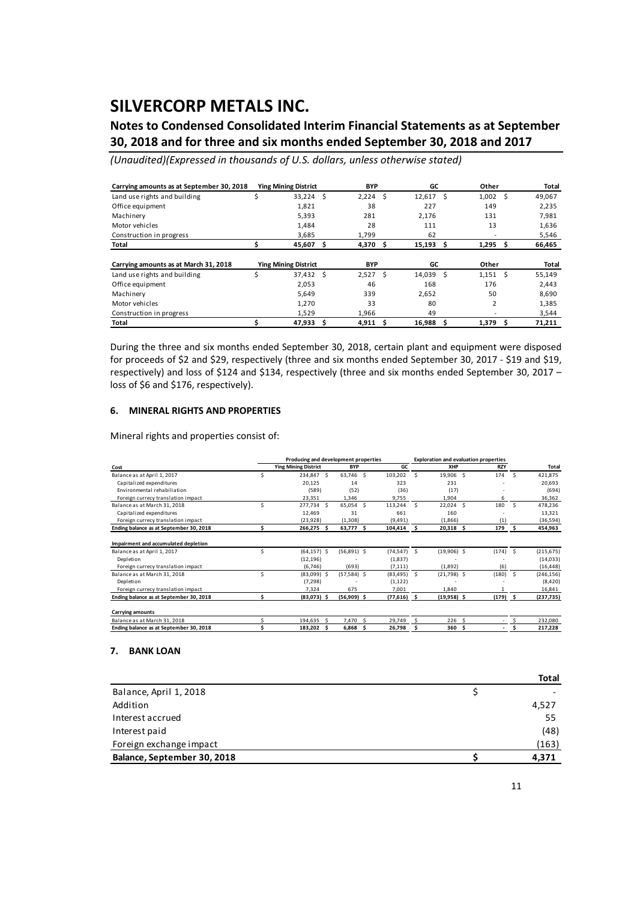### **Notes to Condensed Consolidated Interim Financial Statements as at September 30, 2018 and for three and six months ended September 30, 2018 and 2017**

*(Unaudited)(Expressed in thousands of U.S. dollars, unless otherwise stated)*

| Carrying amounts as at September 30, 2018 |    | <b>Ying Mining District</b> |     | <b>BYP</b> |    | GC     |   | Other          |   | Total  |
|-------------------------------------------|----|-----------------------------|-----|------------|----|--------|---|----------------|---|--------|
| Land use rights and building              | \$ | 33,224                      | Ŝ.  | 2,224      | Ŝ  | 12,617 | Ŝ | 1,002          | Ŝ | 49,067 |
| Office equipment                          |    | 1,821                       |     | 38         |    | 227    |   | 149            |   | 2,235  |
| Machinery                                 |    | 5,393                       |     | 281        |    | 2,176  |   | 131            |   | 7,981  |
| Motor vehicles                            |    | 1,484                       |     | 28         |    | 111    |   | 13             |   | 1,636  |
| Construction in progress                  |    | 3.685                       |     | 1.799      |    | 62     |   |                |   | 5,546  |
| Total                                     |    | 45,607                      | Ŝ   | 4,370      | Ŝ  | 15,193 | Ŝ | 1,295          | Ŝ | 66,465 |
|                                           |    |                             |     |            |    |        |   |                |   |        |
| Carrying amounts as at March 31, 2018     |    | <b>Ying Mining District</b> |     | <b>BYP</b> |    | GC     |   | Other          |   | Total  |
| Land use rights and building              | Ś  | 37,432                      | - S | 2,527      | Ŝ. | 14,039 | Ŝ | 1,151          | Ŝ | 55,149 |
| Office equipment                          |    | 2,053                       |     | 46         |    | 168    |   | 176            |   | 2,443  |
| Machinery                                 |    | 5,649                       |     | 339        |    | 2,652  |   | 50             |   | 8,690  |
| Motor vehicles                            |    | 1,270                       |     | 33         |    | 80     |   | $\overline{2}$ |   | 1,385  |
| Construction in progress                  |    | 1.529                       |     | 1.966      |    | 49     |   |                |   | 3,544  |
| <b>Total</b>                              |    | 47,933                      | Ŝ   | 4,911      | Ŝ  | 16,988 | Ŝ | 1,379          | Ŝ | 71.211 |

During the three and six months ended September 30, 2018, certain plant and equipment were disposed for proceeds of \$2 and \$29, respectively (three and six months ended September 30, 2017 ‐ \$19 and \$19, respectively) and loss of \$124 and \$134, respectively (three and six months ended September 30, 2017 – loss of \$6 and \$176, respectively).

#### **6. MINERAL RIGHTS AND PROPERTIES**

Mineral rights and properties consist of:

|                                         |   | Producing and development properties |    | <b>Exploration and evaluation properties</b> |    |               |    |               |    |            |     |            |
|-----------------------------------------|---|--------------------------------------|----|----------------------------------------------|----|---------------|----|---------------|----|------------|-----|------------|
| Cost                                    |   | <b>Ying Mining District</b>          |    | <b>BYP</b>                                   |    | GC            |    | XHP           |    | <b>RZY</b> |     | Total      |
| Balance as at April 1, 2017             |   | 234,847 \$                           |    | 63.746 S                                     |    | 103,202       | Ŝ  | 19,906 \$     |    | 174        | -Ś  | 421,875    |
| Capitalized expenditures                |   | 20,125                               |    | 14                                           |    | 323           |    | 231           |    |            |     | 20,693     |
| Environmental rehabiliation             |   | (589)                                |    | (52)                                         |    | (36)          |    | (17)          |    |            |     | (694)      |
| Foreign currecy translation impact      |   | 23,351                               |    | 1,346                                        |    | 9,755         |    | 1,904         |    | 6          |     | 36,362     |
| Balance as at March 31, 2018            |   | 277,734 \$                           |    | 65,054 \$                                    |    | 113,244       | Š. | 22,024 \$     |    | 180        | -Ś  | 478,236    |
| Capitalized expenditures                |   | 12,469                               |    | 31                                           |    | 661           |    | 160           |    |            |     | 13,321     |
| Foreign currecy translation impact      |   | (23, 928)                            |    | (1,308)                                      |    | (9, 491)      |    | (1,866)       |    | (1)        |     | (36, 594)  |
| Ending balance as at September 30, 2018 |   | 266,275 \$                           |    | 63,777 \$                                    |    | 104,414       | S  | $20,318$ \$   |    | 179        |     | 454,963    |
| Impairment and accumulated depletion    |   |                                      |    |                                              |    |               |    |               |    |            |     |            |
| Balance as at April 1, 2017             | ς | $(64, 157)$ \$                       |    | $(56,891)$ \$                                |    | (74, 547)     | Ŝ  | $(19,906)$ \$ |    | $(174)$ \$ |     | (215, 675) |
| Depletion                               |   | (12, 196)                            |    |                                              |    | (1,837)       |    |               |    |            |     | (14,033)   |
| Foreign currecy translation impact      |   | (6,746)                              |    | (693)                                        |    | (7, 111)      |    | (1,892)       |    | (6)        |     | (16, 448)  |
| Balance as at March 31, 2018            |   | $(83,099)$ \$                        |    | $(57, 584)$ \$                               |    | (83, 495)     | -S | $(21,798)$ \$ |    | (180)      | - S | (246, 156) |
| Depletion                               |   | (7, 298)                             |    |                                              |    | (1, 122)      |    |               |    |            |     | (8,420)    |
| Foreign currecy translation impact      |   | 7,324                                |    | 675                                          |    | 7,001         |    | 1,840         |    |            |     | 16,841     |
| Ending balance as at September 30, 2018 |   | $(83,073)$ \$                        |    | $(56,909)$ \$                                |    | $(77,616)$ \$ |    | $(19,958)$ \$ |    | $(179)$ \$ |     | (237, 735) |
| <b>Carrying amounts</b>                 |   |                                      |    |                                              |    |               |    |               |    |            |     |            |
| Balance as at March 31, 2018            |   | 194,635                              | -S | 7,470                                        | -S | 29,749        |    | 226           | .S |            |     | 232,080    |
| Ending balance as at September 30, 2018 |   | 183,202 \$                           |    | 6,868                                        | -S | 26,798        |    | 360           | .s |            |     | 217,228    |

#### **7. BANK LOAN**

|                             | Total |
|-----------------------------|-------|
| Balance, April 1, 2018      |       |
| Addition                    | 4,527 |
| Interest accrued            | 55    |
| Interest paid               | (48)  |
| Foreign exchange impact     | (163) |
| Balance, September 30, 2018 | 4,371 |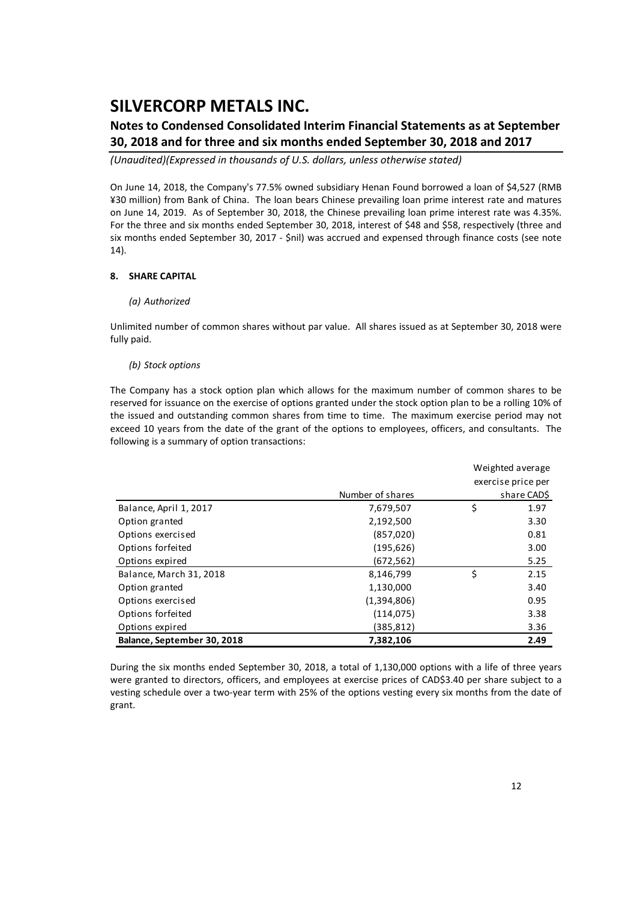### **Notes to Condensed Consolidated Interim Financial Statements as at September 30, 2018 and for three and six months ended September 30, 2018 and 2017**

*(Unaudited)(Expressed in thousands of U.S. dollars, unless otherwise stated)*

On June 14, 2018, the Company's 77.5% owned subsidiary Henan Found borrowed a loan of \$4,527 (RMB ¥30 million) from Bank of China. The loan bears Chinese prevailing loan prime interest rate and matures on June 14, 2019. As of September 30, 2018, the Chinese prevailing loan prime interest rate was 4.35%. For the three and six months ended September 30, 2018, interest of \$48 and \$58, respectively (three and six months ended September 30, 2017 ‐ \$nil) was accrued and expensed through finance costs (see note 14).

### **8. SHARE CAPITAL**

### *(a) Authorized*

Unlimited number of common shares without par value. All shares issued as at September 30, 2018 were fully paid.

#### *(b) Stock options*

The Company has a stock option plan which allows for the maximum number of common shares to be reserved for issuance on the exercise of options granted under the stock option plan to be a rolling 10% of the issued and outstanding common shares from time to time. The maximum exercise period may not exceed 10 years from the date of the grant of the options to employees, officers, and consultants. The following is a summary of option transactions:

|                             |                  | Weighted average |                    |  |  |  |  |
|-----------------------------|------------------|------------------|--------------------|--|--|--|--|
|                             |                  |                  | exercise price per |  |  |  |  |
|                             | Number of shares |                  | share CAD\$        |  |  |  |  |
| Balance, April 1, 2017      | 7,679,507        | \$               | 1.97               |  |  |  |  |
| Option granted              | 2,192,500        |                  | 3.30               |  |  |  |  |
| Options exercised           | (857, 020)       |                  | 0.81               |  |  |  |  |
| Options forfeited           | (195, 626)       |                  | 3.00               |  |  |  |  |
| Options expired             | (672, 562)       |                  | 5.25               |  |  |  |  |
| Balance, March 31, 2018     | 8,146,799        | \$               | 2.15               |  |  |  |  |
| Option granted              | 1,130,000        |                  | 3.40               |  |  |  |  |
| Options exercised           | (1,394,806)      |                  | 0.95               |  |  |  |  |
| Options forfeited           | (114, 075)       |                  | 3.38               |  |  |  |  |
| Options expired             | (385,812)        |                  | 3.36               |  |  |  |  |
| Balance, September 30, 2018 | 7,382,106        |                  | 2.49               |  |  |  |  |

During the six months ended September 30, 2018, a total of 1,130,000 options with a life of three years were granted to directors, officers, and employees at exercise prices of CAD\$3.40 per share subject to a vesting schedule over a two‐year term with 25% of the options vesting every six months from the date of grant.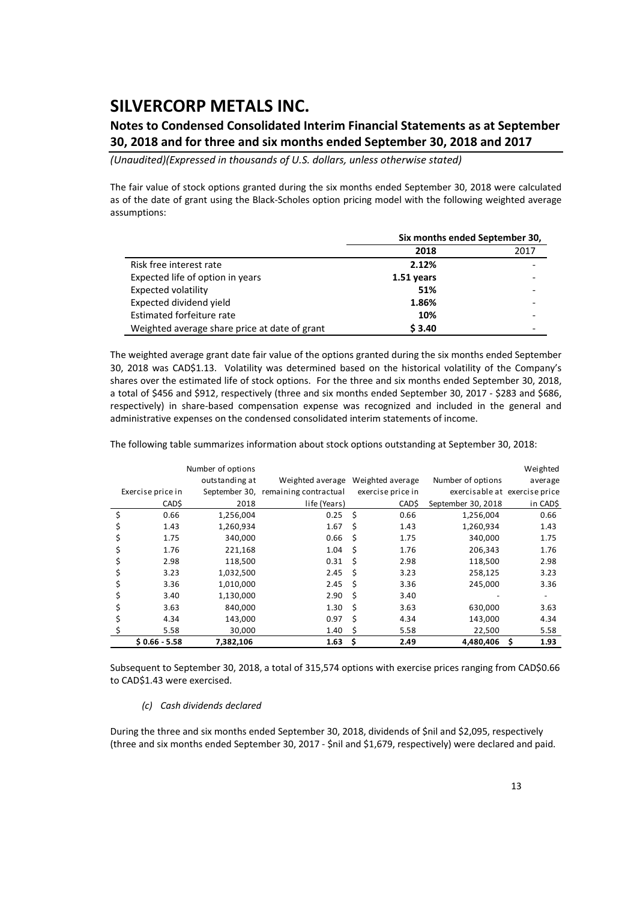### **Notes to Condensed Consolidated Interim Financial Statements as at September 30, 2018 and for three and six months ended September 30, 2018 and 2017**

*(Unaudited)(Expressed in thousands of U.S. dollars, unless otherwise stated)*

The fair value of stock options granted during the six months ended September 30, 2018 were calculated as of the date of grant using the Black‐Scholes option pricing model with the following weighted average assumptions:

|                                               | Six months ended September 30, |      |  |  |  |  |
|-----------------------------------------------|--------------------------------|------|--|--|--|--|
|                                               | 2018                           | 2017 |  |  |  |  |
| Risk free interest rate                       | 2.12%                          |      |  |  |  |  |
| Expected life of option in years              | 1.51 years                     |      |  |  |  |  |
| Expected volatility                           | 51%                            |      |  |  |  |  |
| Expected dividend yield                       | 1.86%                          |      |  |  |  |  |
| Estimated forfeiture rate                     | 10%                            |      |  |  |  |  |
| Weighted average share price at date of grant | \$3.40                         |      |  |  |  |  |

The weighted average grant date fair value of the options granted during the six months ended September 30, 2018 was CAD\$1.13. Volatility was determined based on the historical volatility of the Company's shares over the estimated life of stock options. For the three and six months ended September 30, 2018, a total of \$456 and \$912, respectively (three and six months ended September 30, 2017 ‐ \$283 and \$686, respectively) in share‐based compensation expense was recognized and included in the general and administrative expenses on the condensed consolidated interim statements of income.

The following table summarizes information about stock options outstanding at September 30, 2018:

|    |                   | Number of options |                                     |    |                   |                               | Weighted  |
|----|-------------------|-------------------|-------------------------------------|----|-------------------|-------------------------------|-----------|
|    |                   | outstanding at    | Weighted average                    |    | Weighted average  | Number of options             | average   |
|    | Exercise price in |                   | September 30, remaining contractual |    | exercise price in | exercisable at exercise price |           |
|    | CAD\$             | 2018              | life (Years)                        |    | CAD\$             | September 30, 2018            | in CAD\$  |
| \$ | 0.66              | 1,256,004         | 0.25                                | Ś  | 0.66              | 1,256,004                     | 0.66      |
| S  | 1.43              | 1,260,934         | 1.67                                | \$ | 1.43              | 1,260,934                     | 1.43      |
|    | 1.75              | 340,000           | 0.66                                | Ś  | 1.75              | 340,000                       | 1.75      |
|    | 1.76              | 221,168           | 1.04                                | Ś  | 1.76              | 206,343                       | 1.76      |
|    | 2.98              | 118,500           | 0.31                                | Ś  | 2.98              | 118,500                       | 2.98      |
| S  | 3.23              | 1,032,500         | 2.45                                | Ŝ. | 3.23              | 258,125                       | 3.23      |
|    | 3.36              | 1,010,000         | 2.45                                | Ś  | 3.36              | 245,000                       | 3.36      |
|    | 3.40              | 1,130,000         | 2.90                                | Ś  | 3.40              |                               |           |
|    | 3.63              | 840,000           | 1.30                                | Ś  | 3.63              | 630,000                       | 3.63      |
|    | 4.34              | 143,000           | 0.97                                | Ś  | 4.34              | 143,000                       | 4.34      |
|    | 5.58              | 30,000            | 1.40                                | Ś  | 5.58              | 22,500                        | 5.58      |
|    | $$0.66 - 5.58$    | 7,382,106         | 1.63                                | \$ | 2.49              | 4,480,406                     | 1.93<br>s |

Subsequent to September 30, 2018, a total of 315,574 options with exercise prices ranging from CAD\$0.66 to CAD\$1.43 were exercised.

### *(c) Cash dividends declared*

During the three and six months ended September 30, 2018, dividends of \$nil and \$2,095, respectively (three and six months ended September 30, 2017 ‐ \$nil and \$1,679, respectively) were declared and paid.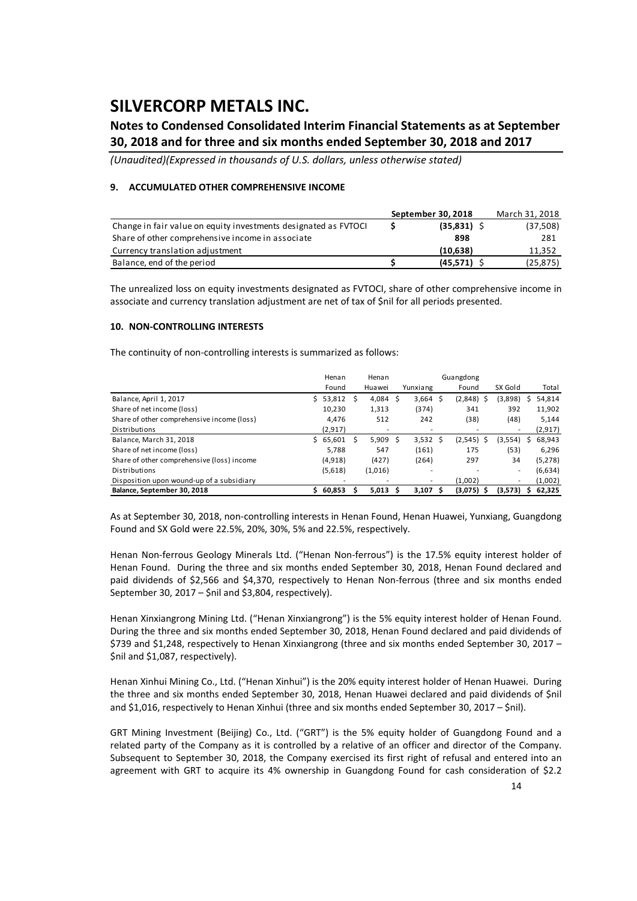### **Notes to Condensed Consolidated Interim Financial Statements as at September 30, 2018 and for three and six months ended September 30, 2018 and 2017**

*(Unaudited)(Expressed in thousands of U.S. dollars, unless otherwise stated)*

### **9. ACCUMULATED OTHER COMPREHENSIVE INCOME**

|                                                                 | September 30, 2018 | March 31, 2018 |
|-----------------------------------------------------------------|--------------------|----------------|
| Change in fair value on equity investments designated as FVTOCI | $(35,831)$ \$      | (37,508)       |
| Share of other comprehensive income in associate                | 898                | 281            |
| Currency translation adjustment                                 | (10.638)           | 11.352         |
| Balance, end of the period                                      | (45.571)           | (25, 875)      |

The unrealized loss on equity investments designated as FVTOCI, share of other comprehensive income in associate and currency translation adjustment are net of tax of \$nil for all periods presented.

#### **10. NON‐CONTROLLING INTERESTS**

The continuity of non-controlling interests is summarized as follows:

|                                            |    | Henan    |     | Henan   |     |            | Guangdong |              |    |                          |   |          |
|--------------------------------------------|----|----------|-----|---------|-----|------------|-----------|--------------|----|--------------------------|---|----------|
|                                            |    | Found    |     | Huawei  |     | Yunxiang   |           | Found        |    | SX Gold                  |   | Total    |
| Balance, April 1, 2017                     | Ś. | 53,812   | - S | 4,084   | - S | $3,664$ \$ |           | (2,848)      | -S | (3,898)                  |   | 54,814   |
| Share of net income (loss)                 |    | 10.230   |     | 1,313   |     | (374)      |           | 341          |    | 392                      |   | 11,902   |
| Share of other comprehensive income (loss) |    | 4.476    |     | 512     |     | 242        |           | (38)         |    | (48)                     |   | 5,144    |
| Distributions                              |    | (2, 917) |     |         |     | ۰          |           |              |    |                          |   | (2, 917) |
| Balance, March 31, 2018                    | Ś. | 65,601   | S   | 5,909   | -S  | $3,532$ \$ |           | (2, 545)     | Ŝ  | (3,554)                  | S | 68,943   |
| Share of net income (loss)                 |    | 5.788    |     | 547     |     | (161)      |           | 175          |    | (53)                     |   | 6,296    |
| Share of other comprehensive (loss) income |    | (4,918)  |     | (427)   |     | (264)      |           | 297          |    | 34                       |   | (5, 278) |
| Distributions                              |    | (5,618)  |     | (1,016) |     | ۰          |           |              |    | $\overline{\phantom{a}}$ |   | (6,634)  |
| Disposition upon wound-up of a subsidiary  |    |          |     |         |     | ۰.         |           | (1,002)      |    | ٠                        |   | (1,002)  |
| Balance, September 30, 2018                |    | 60,853   |     | 5,013   |     | $3,107$ \$ |           | $(3,075)$ \$ |    | (3,573)                  |   | 62,325   |

As at September 30, 2018, non‐controlling interests in Henan Found, Henan Huawei, Yunxiang, Guangdong Found and SX Gold were 22.5%, 20%, 30%, 5% and 22.5%, respectively.

Henan Non-ferrous Geology Minerals Ltd. ("Henan Non-ferrous") is the 17.5% equity interest holder of Henan Found. During the three and six months ended September 30, 2018, Henan Found declared and paid dividends of \$2,566 and \$4,370, respectively to Henan Non-ferrous (three and six months ended September 30, 2017 – \$nil and \$3,804, respectively).

Henan Xinxiangrong Mining Ltd. ("Henan Xinxiangrong") is the 5% equity interest holder of Henan Found. During the three and six months ended September 30, 2018, Henan Found declared and paid dividends of \$739 and \$1,248, respectively to Henan Xinxiangrong (three and six months ended September 30, 2017 – \$nil and \$1,087, respectively).

Henan Xinhui Mining Co., Ltd. ("Henan Xinhui") is the 20% equity interest holder of Henan Huawei. During the three and six months ended September 30, 2018, Henan Huawei declared and paid dividends of \$nil and \$1,016, respectively to Henan Xinhui (three and six months ended September 30, 2017 – \$nil).

GRT Mining Investment (Beijing) Co., Ltd. ("GRT") is the 5% equity holder of Guangdong Found and a related party of the Company as it is controlled by a relative of an officer and director of the Company. Subsequent to September 30, 2018, the Company exercised its first right of refusal and entered into an agreement with GRT to acquire its 4% ownership in Guangdong Found for cash consideration of \$2.2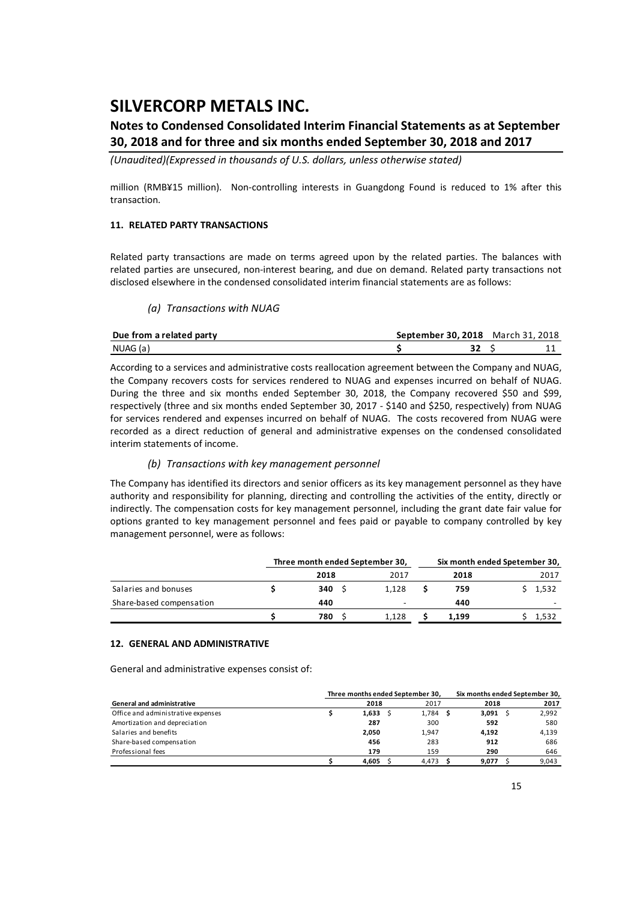### **Notes to Condensed Consolidated Interim Financial Statements as at September 30, 2018 and for three and six months ended September 30, 2018 and 2017**

*(Unaudited)(Expressed in thousands of U.S. dollars, unless otherwise stated)*

million (RMB¥15 million). Non-controlling interests in Guangdong Found is reduced to 1% after this transaction.

### **11. RELATED PARTY TRANSACTIONS**

Related party transactions are made on terms agreed upon by the related parties. The balances with related parties are unsecured, non‐interest bearing, and due on demand. Related party transactions not disclosed elsewhere in the condensed consolidated interim financial statements are as follows:

### *(a) Transactions with NUAG*

| Due from a related party | September 30, 2018 | March 31, 2018 |
|--------------------------|--------------------|----------------|
| NUAG (a)                 |                    | <b>. .</b>     |

According to a services and administrative costs reallocation agreement between the Company and NUAG, the Company recovers costs for services rendered to NUAG and expenses incurred on behalf of NUAG. During the three and six months ended September 30, 2018, the Company recovered \$50 and \$99, respectively (three and six months ended September 30, 2017 ‐ \$140 and \$250, respectively) from NUAG for services rendered and expenses incurred on behalf of NUAG. The costs recovered from NUAG were recorded as a direct reduction of general and administrative expenses on the condensed consolidated interim statements of income.

### *(b) Transactions with key management personnel*

The Company has identified its directors and senior officers as its key management personnel as they have authority and responsibility for planning, directing and controlling the activities of the entity, directly or indirectly. The compensation costs for key management personnel, including the grant date fair value for options granted to key management personnel and fees paid or payable to company controlled by key management personnel, were as follows:

|                          | Three month ended September 30, |       | Six month ended Spetember 30, |       |
|--------------------------|---------------------------------|-------|-------------------------------|-------|
|                          | 2018                            | 2017  | 2018                          | 2017  |
| Salaries and bonuses     | 340S                            | 1.128 | 759                           | 1.532 |
| Share-based compensation | 440                             |       | 440                           |       |
|                          | 780                             | 1.128 | 1.199                         | 1,532 |

#### **12. GENERAL AND ADMINISTRATIVE**

General and administrative expenses consist of:

|                                    | Three months ended September 30, |            | Six months ended September 30, |       |  |  |  |
|------------------------------------|----------------------------------|------------|--------------------------------|-------|--|--|--|
| <b>General and administrative</b>  | 2018                             | 2017       | 2018                           | 2017  |  |  |  |
| Office and administrative expenses | 1.633                            | $1,784$ \$ | $3,091$ \$                     | 2,992 |  |  |  |
| Amortization and depreciation      | 287                              | 300        | 592                            | 580   |  |  |  |
| Salaries and benefits              | 2.050                            | 1.947      | 4.192                          | 4,139 |  |  |  |
| Share-based compensation           | 456                              | 283        | 912                            | 686   |  |  |  |
| Professional fees                  | 179                              | 159        | 290                            | 646   |  |  |  |
|                                    | 4.605                            | 4.473      | 9.077                          | 9.043 |  |  |  |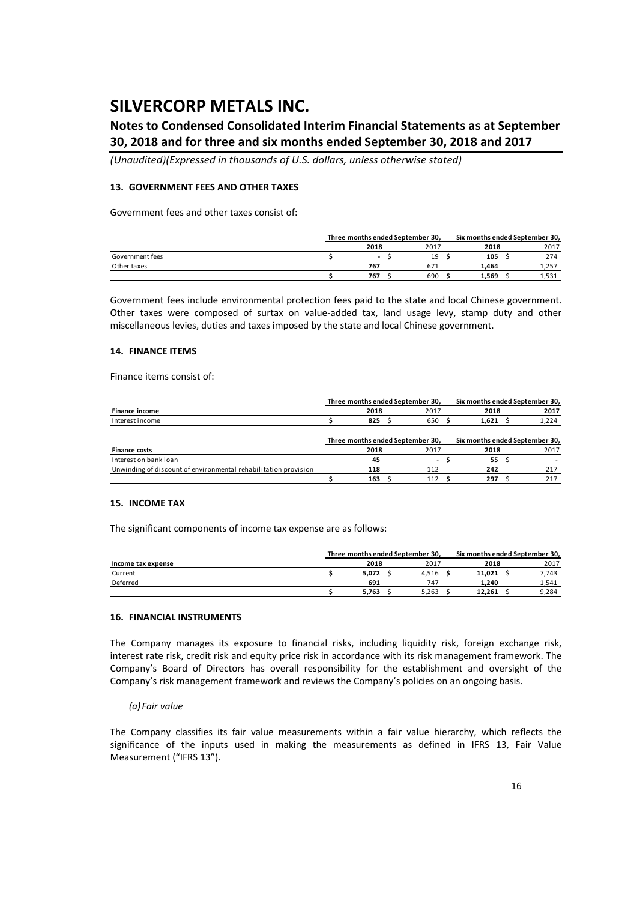### **Notes to Condensed Consolidated Interim Financial Statements as at September 30, 2018 and for three and six months ended September 30, 2018 and 2017**

*(Unaudited)(Expressed in thousands of U.S. dollars, unless otherwise stated)*

#### **13. GOVERNMENT FEES AND OTHER TAXES**

Government fees and other taxes consist of:

|                 | Three months ended September 30. |                          |  |      |  | Six months ended September 30, |  |       |  |
|-----------------|----------------------------------|--------------------------|--|------|--|--------------------------------|--|-------|--|
|                 |                                  | 2018                     |  | 2017 |  | 2018                           |  | 2017  |  |
| Government fees |                                  | $\overline{\phantom{a}}$ |  | 19   |  | 105                            |  | 274   |  |
| Other taxes     |                                  | 767                      |  | 671  |  | 1.464                          |  | 1,257 |  |
|                 |                                  | 767                      |  | 690  |  | 1,569                          |  | 1,531 |  |

Government fees include environmental protection fees paid to the state and local Chinese government. Other taxes were composed of surtax on value‐added tax, land usage levy, stamp duty and other miscellaneous levies, duties and taxes imposed by the state and local Chinese government.

#### **14. FINANCE ITEMS**

Finance items consist of:

|                                                                 | Three months ended September 30, |      |  |        |  | Six months ended September 30, |  |       |  |
|-----------------------------------------------------------------|----------------------------------|------|--|--------|--|--------------------------------|--|-------|--|
| Finance income                                                  |                                  | 2018 |  | 2017   |  | 2018                           |  | 2017  |  |
| Interest income                                                 |                                  | 825  |  | 650    |  | 1.621                          |  | 1,224 |  |
|                                                                 |                                  |      |  |        |  |                                |  |       |  |
|                                                                 | Three months ended September 30, |      |  |        |  | Six months ended September 30, |  |       |  |
| <b>Finance costs</b>                                            |                                  | 2018 |  | 2017   |  | 2018                           |  | 2017  |  |
| Interest on bank loan                                           |                                  | 45   |  | $\sim$ |  | 55                             |  |       |  |
| Unwinding of discount of environmental rehabilitation provision |                                  | 118  |  | 112    |  | 242                            |  | 217   |  |
|                                                                 |                                  | 163  |  | 112    |  | 297                            |  | 217   |  |

### **15. INCOME TAX**

The significant components of income tax expense are as follows:

|                    | Three months ended September 30, |       | Six months ended September 30, |       |
|--------------------|----------------------------------|-------|--------------------------------|-------|
| Income tax expense | 2018                             | 2017  | 2018                           | 2017  |
| Current            | 5,072                            | 4.516 | 11.021                         | 7,743 |
| Deferred           | 691                              | 747   | 1.240                          | 1.541 |
|                    | 5.763                            | 5.263 | 12.261                         | 9,284 |

#### **16. FINANCIAL INSTRUMENTS**

The Company manages its exposure to financial risks, including liquidity risk, foreign exchange risk, interest rate risk, credit risk and equity price risk in accordance with its risk management framework. The Company's Board of Directors has overall responsibility for the establishment and oversight of the Company's risk management framework and reviews the Company's policies on an ongoing basis.

#### *(a) Fair value*

The Company classifies its fair value measurements within a fair value hierarchy, which reflects the significance of the inputs used in making the measurements as defined in IFRS 13, Fair Value Measurement ("IFRS 13").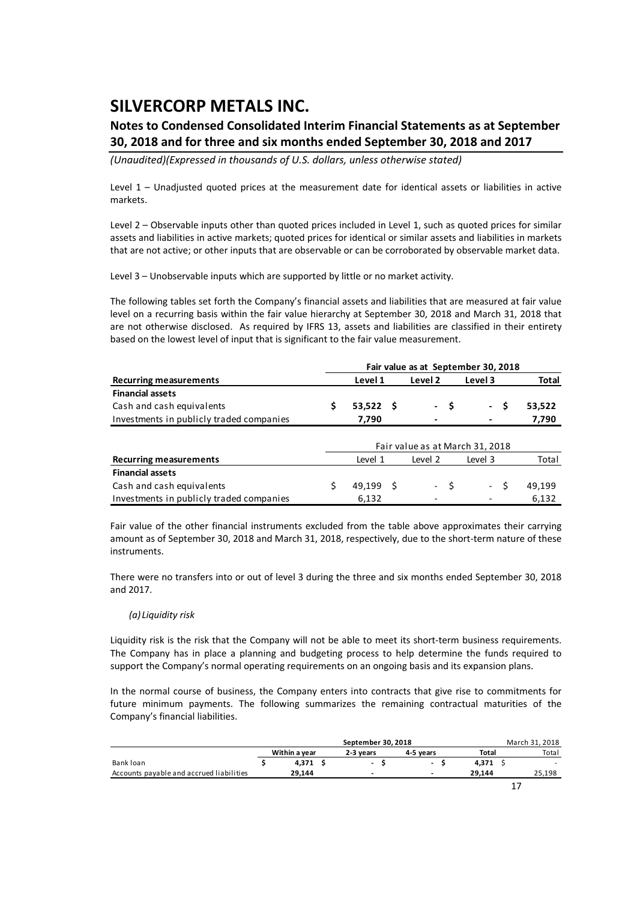### **Notes to Condensed Consolidated Interim Financial Statements as at September 30, 2018 and for three and six months ended September 30, 2018 and 2017**

*(Unaudited)(Expressed in thousands of U.S. dollars, unless otherwise stated)*

Level 1 – Unadjusted quoted prices at the measurement date for identical assets or liabilities in active markets.

Level 2 – Observable inputs other than quoted prices included in Level 1, such as quoted prices for similar assets and liabilities in active markets; quoted prices for identical or similar assets and liabilities in markets that are not active; or other inputs that are observable or can be corroborated by observable market data.

Level 3 – Unobservable inputs which are supported by little or no market activity.

The following tables set forth the Company's financial assets and liabilities that are measured at fair value level on a recurring basis within the fair value hierarchy at September 30, 2018 and March 31, 2018 that are not otherwise disclosed. As required by IFRS 13, assets and liabilities are classified in their entirety based on the lowest level of input that is significant to the fair value measurement.

| Level 1 | Level 2     | Level 3 | Total                                      |
|---------|-------------|---------|--------------------------------------------|
|         |             |         |                                            |
|         |             |         | 53.522                                     |
| 7.790   |             | $\,$    | 7,790                                      |
|         | $53,522$ \$ | $-S$    | Fair value as at September 30, 2018<br>- S |

|                                          |           |         |       | Fair value as at March 31, 2018 |        |
|------------------------------------------|-----------|---------|-------|---------------------------------|--------|
| <b>Recurring measurements</b>            | Level 1   | Level 2 |       | Level 3                         | Total  |
| <b>Financial assets</b>                  |           |         |       |                                 |        |
| Cash and cash equivalents                | 49.199 \$ |         | $- S$ | $-S$                            | 49.199 |
| Investments in publicly traded companies | 6.132     |         |       |                                 | 6.132  |

Fair value of the other financial instruments excluded from the table above approximates their carrying amount as of September 30, 2018 and March 31, 2018, respectively, due to the short-term nature of these instruments.

There were no transfers into or out of level 3 during the three and six months ended September 30, 2018 and 2017.

### *(a) Liquidity risk*

Liquidity risk is the risk that the Company will not be able to meet its short-term business requirements. The Company has in place a planning and budgeting process to help determine the funds required to support the Company's normal operating requirements on an ongoing basis and its expansion plans.

In the normal course of business, the Company enters into contracts that give rise to commitments for future minimum payments. The following summarizes the remaining contractual maturities of the Company's financial liabilities.

|                                          |               | September 30, 2018       |           |        | March 31, 2018 |
|------------------------------------------|---------------|--------------------------|-----------|--------|----------------|
|                                          | Within a year | 2-3 years                | 4-5 vears | Total  | Total          |
| Bank loan                                | 4,371         | $\overline{\phantom{a}}$ |           | 4,371  |                |
| Accounts payable and accrued liabilities | 29.144        | $\overline{\phantom{a}}$ | -         | 29.144 | 25,198         |
|                                          |               |                          |           |        |                |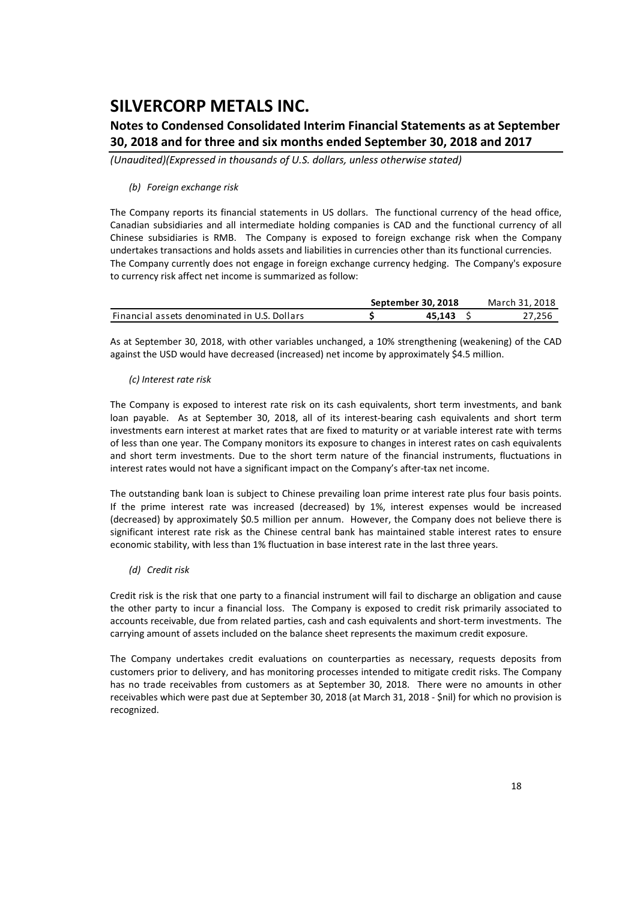### **Notes to Condensed Consolidated Interim Financial Statements as at September 30, 2018 and for three and six months ended September 30, 2018 and 2017**

*(Unaudited)(Expressed in thousands of U.S. dollars, unless otherwise stated)*

#### *(b) Foreign exchange risk*

The Company reports its financial statements in US dollars. The functional currency of the head office, Canadian subsidiaries and all intermediate holding companies is CAD and the functional currency of all Chinese subsidiaries is RMB. The Company is exposed to foreign exchange risk when the Company undertakes transactions and holds assets and liabilities in currencies other than its functional currencies. The Company currently does not engage in foreign exchange currency hedging. The Company's exposure to currency risk affect net income is summarized as follow:

|                                              | September 30, 2018 | March 31, 2018 |
|----------------------------------------------|--------------------|----------------|
| Financial assets denominated in U.S. Dollars | 45.143             | 27.256         |

As at September 30, 2018, with other variables unchanged, a 10% strengthening (weakening) of the CAD against the USD would have decreased (increased) net income by approximately \$4.5 million.

#### *(c) Interest rate risk*

The Company is exposed to interest rate risk on its cash equivalents, short term investments, and bank loan payable. As at September 30, 2018, all of its interest-bearing cash equivalents and short term investments earn interest at market rates that are fixed to maturity or at variable interest rate with terms of less than one year. The Company monitors its exposure to changes in interest rates on cash equivalents and short term investments. Due to the short term nature of the financial instruments, fluctuations in interest rates would not have a significant impact on the Company's after-tax net income.

The outstanding bank loan is subject to Chinese prevailing loan prime interest rate plus four basis points. If the prime interest rate was increased (decreased) by 1%, interest expenses would be increased (decreased) by approximately \$0.5 million per annum. However, the Company does not believe there is significant interest rate risk as the Chinese central bank has maintained stable interest rates to ensure economic stability, with less than 1% fluctuation in base interest rate in the last three years.

### *(d) Credit risk*

Credit risk is the risk that one party to a financial instrument will fail to discharge an obligation and cause the other party to incur a financial loss. The Company is exposed to credit risk primarily associated to accounts receivable, due from related parties, cash and cash equivalents and short‐term investments. The carrying amount of assets included on the balance sheet represents the maximum credit exposure.

The Company undertakes credit evaluations on counterparties as necessary, requests deposits from customers prior to delivery, and has monitoring processes intended to mitigate credit risks. The Company has no trade receivables from customers as at September 30, 2018. There were no amounts in other receivables which were past due at September 30, 2018 (at March 31, 2018 ‐ \$nil) for which no provision is recognized.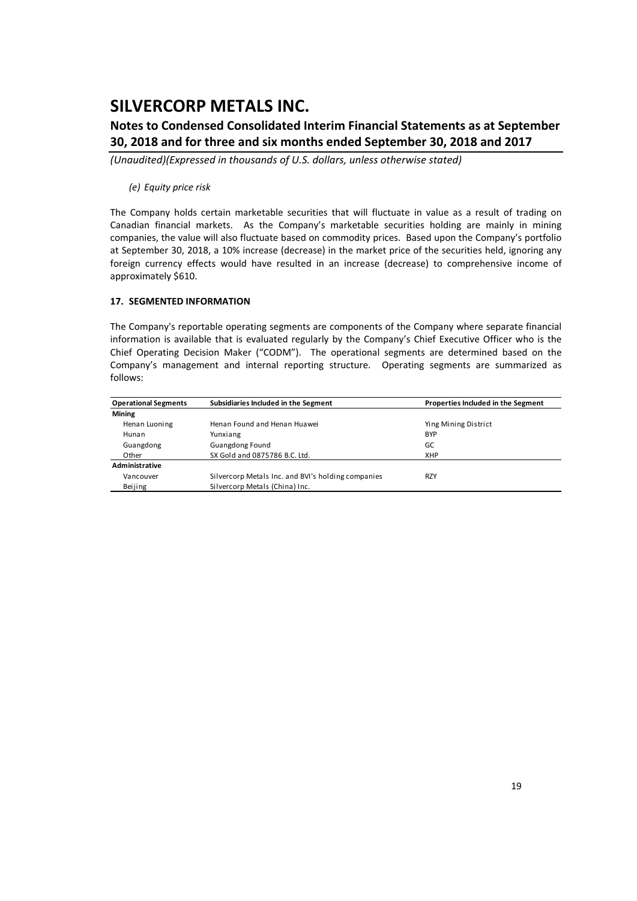### **Notes to Condensed Consolidated Interim Financial Statements as at September 30, 2018 and for three and six months ended September 30, 2018 and 2017**

*(Unaudited)(Expressed in thousands of U.S. dollars, unless otherwise stated)*

#### *(e) Equity price risk*

The Company holds certain marketable securities that will fluctuate in value as a result of trading on Canadian financial markets. As the Company's marketable securities holding are mainly in mining companies, the value will also fluctuate based on commodity prices. Based upon the Company's portfolio at September 30, 2018, a 10% increase (decrease) in the market price of the securities held, ignoring any foreign currency effects would have resulted in an increase (decrease) to comprehensive income of approximately \$610.

### **17. SEGMENTED INFORMATION**

The Company's reportable operating segments are components of the Company where separate financial information is available that is evaluated regularly by the Company's Chief Executive Officer who is the Chief Operating Decision Maker ("CODM"). The operational segments are determined based on the Company's management and internal reporting structure. Operating segments are summarized as follows:

| <b>Operational Segments</b> | Subsidiaries Included in the Segment               | Properties Included in the Segment |
|-----------------------------|----------------------------------------------------|------------------------------------|
| Mining                      |                                                    |                                    |
| Henan Luoning               | Henan Found and Henan Huawei                       | Ying Mining District               |
| Hunan                       | Yunxiang                                           | <b>BYP</b>                         |
| Guangdong                   | <b>Guangdong Found</b>                             | GC                                 |
| Other                       | SX Gold and 0875786 B.C. Ltd.                      | <b>XHP</b>                         |
| Administrative              |                                                    |                                    |
| Vancouver                   | Silvercorp Metals Inc. and BVI's holding companies | <b>RZY</b>                         |
| Beijing                     | Silvercorp Metals (China) Inc.                     |                                    |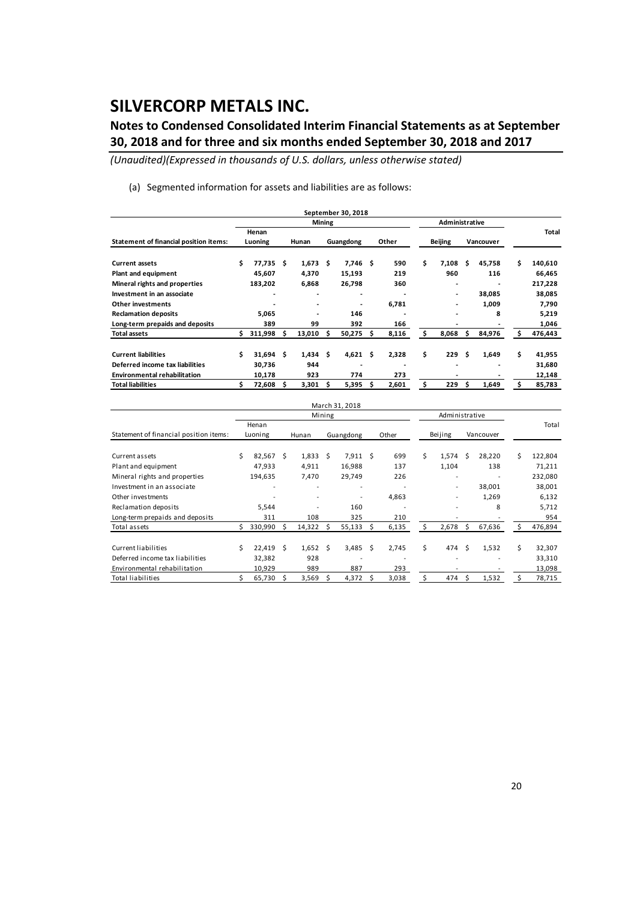### **Notes to Condensed Consolidated Interim Financial Statements as at September 30, 2018 and for three and six months ended September 30, 2018 and 2017**

*(Unaudited)(Expressed in thousands of U.S. dollars, unless otherwise stated)*

(a) Segmented information for assets and liabilities are as follows:

|                                        |     |         |     |                          |               | September 30, 2018       |    |       |                          |   |           |     |              |
|----------------------------------------|-----|---------|-----|--------------------------|---------------|--------------------------|----|-------|--------------------------|---|-----------|-----|--------------|
|                                        |     |         |     |                          | <b>Mining</b> |                          |    |       | Administrative           |   |           |     |              |
|                                        |     | Henan   |     |                          |               |                          |    |       |                          |   |           |     | <b>Total</b> |
| Statement of financial position items: |     | Luoning |     | Hunan                    |               | Guangdong                |    | Other | <b>Beijing</b>           |   | Vancouver |     |              |
| <b>Current assets</b>                  | \$  | 77.735  | -S  | 1,673                    | \$.           | 7,746                    | Ŝ  | 590   | \$<br>7,108              | Ŝ | 45,758    | \$  | 140,610      |
| Plant and equipment                    |     | 45,607  |     | 4,370                    |               | 15,193                   |    | 219   | 960                      |   | 116       |     | 66,465       |
| Mineral rights and properties          |     | 183,202 |     | 6,868                    |               | 26,798                   |    | 360   |                          |   |           |     | 217,228      |
| Investment in an associate             |     |         |     | ٠                        |               | $\overline{\phantom{0}}$ |    |       | $\overline{\phantom{a}}$ |   | 38,085    |     | 38,085       |
| Other investments                      |     | ٠       |     | $\overline{\phantom{a}}$ |               | $\overline{\phantom{0}}$ |    | 6,781 | $\overline{\phantom{a}}$ |   | 1,009     |     | 7,790        |
| <b>Reclamation deposits</b>            |     | 5,065   |     | ٠                        |               | 146                      |    |       | $\overline{\phantom{a}}$ |   | 8         |     | 5,219        |
| Long-term prepaids and deposits        |     | 389     |     | 99                       |               | 392                      |    | 166   |                          |   |           |     | 1,046        |
| <b>Total assets</b>                    | \$. | 311,998 | \$. | 13,010                   | s             | 50,275                   | Ś  | 8,116 | \$<br>8,068              | Ś | 84,976    | \$. | 476,443      |
| <b>Current liabilities</b>             | Ś.  | 31,694  | S   | 1,434                    | \$.           | 4,621                    | Ŝ  | 2,328 | \$<br>229                | Ŝ | 1,649     | \$  | 41,955       |
| Deferred income tax liabilities        |     | 30,736  |     | 944                      |               |                          |    |       |                          |   |           |     | 31,680       |
| <b>Environmental rehabilitation</b>    |     | 10,178  |     | 923                      |               | 774                      |    | 273   |                          |   |           |     | 12,148       |
| <b>Total liabilities</b>               |     | 72,608  | Ś   | 3,301                    |               | 5,395                    | \$ | 2,601 | \$<br>229                | Ś | 1,649     | \$  | 85,783       |

|                                        |   |                  |    |                  |        | March 31, 2018 |    |       |    |                          |               |        |    |         |
|----------------------------------------|---|------------------|----|------------------|--------|----------------|----|-------|----|--------------------------|---------------|--------|----|---------|
|                                        |   |                  |    |                  | Mining |                |    |       |    | Administrative           |               |        |    |         |
| Statement of financial position items: |   | Henan<br>Luoning |    | Hunan            |        | Guangdong      |    | Other |    | Beijing                  | Vancouver     |        |    | Total   |
| Current assets                         | Ś | 82,567           | Ś. | $1,833 \quad$ \$ |        | 7,911          | Ŝ  | 699   | \$ | 1,574                    | Ŝ.            | 28,220 | Ś  | 122,804 |
| Plant and equipment                    |   | 47,933           |    | 4,911            |        | 16,988         |    | 137   |    | 1,104                    |               | 138    |    | 71,211  |
| Mineral rights and properties          |   | 194,635          |    | 7,470            |        | 29,749         |    | 226   |    | ٠                        |               |        |    | 232,080 |
| Investment in an associate             |   |                  |    |                  |        |                |    |       |    | $\overline{\phantom{a}}$ |               | 38,001 |    | 38,001  |
| Other investments                      |   |                  |    |                  |        |                |    | 4,863 |    |                          |               | 1,269  |    | 6,132   |
| Reclamation deposits                   |   | 5,544            |    |                  |        | 160            |    |       |    |                          |               | 8      |    | 5,712   |
| Long-term prepaids and deposits        |   | 311              |    | 108              |        | 325            |    | 210   |    |                          |               |        |    | 954     |
| Total assets                           |   | 330,990          | S  | 14,322           | Ŝ      | 55,133         | Ŝ. | 6,135 | Ŝ. | 2,678                    | Ś.            | 67,636 | S  | 476,894 |
| Current liabilities                    | Ś | 22,419           | Ŝ  | $1,652$ \$       |        | 3,485          | Ŝ  | 2,745 | \$ | 474                      | <sup>\$</sup> | 1,532  | \$ | 32,307  |
| Deferred income tax liabilities        |   | 32,382           |    | 928              |        |                |    |       |    |                          |               |        |    | 33,310  |
| Environmental rehabilitation           |   | 10,929           |    | 989              |        | 887            |    | 293   |    |                          |               |        |    | 13,098  |
| <b>Total liabilities</b>               |   | 65,730           | Ś  | 3,569            |        | 4,372          | S  | 3,038 | Ś  | 474                      | Ŝ             | 1,532  |    | 78,715  |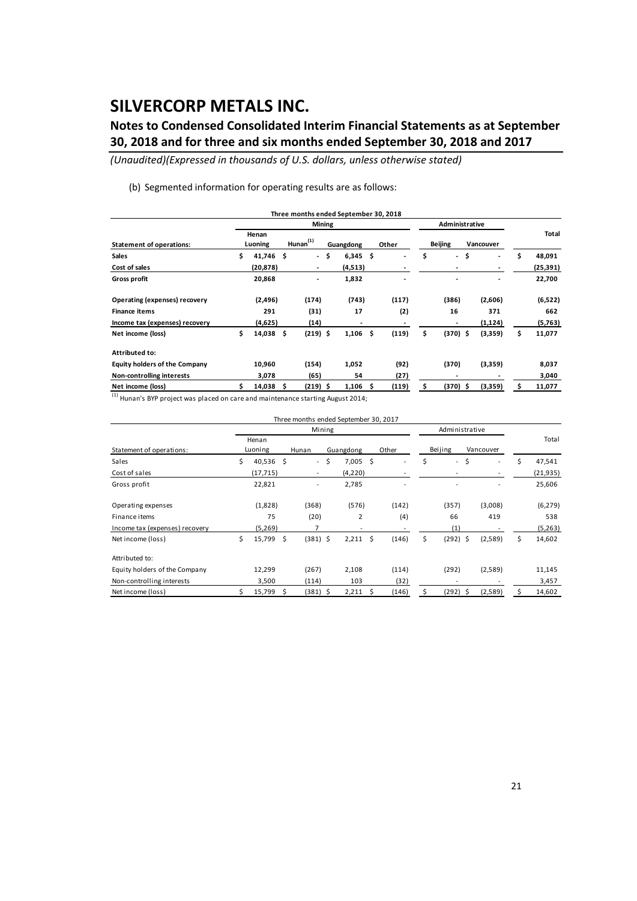### **Notes to Condensed Consolidated Interim Financial Statements as at September 30, 2018 and for three and six months ended September 30, 2018 and 2017**

*(Unaudited)(Expressed in thousands of U.S. dollars, unless otherwise stated)*

(b) Segmented information for operating results are as follows:

|                                      |     |                  |     | Three months ended September 30, 2018 |                          |     |                          |    |                          |      |           |              |
|--------------------------------------|-----|------------------|-----|---------------------------------------|--------------------------|-----|--------------------------|----|--------------------------|------|-----------|--------------|
|                                      |     |                  |     | <b>Mining</b>                         |                          |     |                          |    | Administrative           |      |           |              |
| <b>Statement of operations:</b>      |     | Henan<br>Luoning |     | $H$ unan $(1)$                        | Guangdong                |     | Other                    |    | <b>Beijing</b>           |      | Vancouver | Total        |
| <b>Sales</b>                         | \$  | 41,746 \$        |     | - \$                                  | 6,345                    | \$. | $\overline{\phantom{a}}$ | \$ | $\sim$                   | \$   | ٠         | \$<br>48,091 |
| Cost of sales                        |     | (20, 878)        |     | ٠                                     | (4,513)                  |     |                          |    |                          |      |           | (25, 391)    |
| <b>Gross profit</b>                  |     | 20,868           |     | -                                     | 1,832                    |     |                          |    |                          |      | ٠         | 22,700       |
| Operating (expenses) recovery        |     | (2,496)          |     | (174)                                 | (743)                    |     | (117)                    |    | (386)                    |      | (2,606)   | (6, 522)     |
| <b>Finance items</b>                 |     | 291              |     | (31)                                  | 17                       |     | (2)                      |    | 16                       |      | 371       | 662          |
| Income tax (expenses) recovery       |     | (4,625)          |     | (14)                                  | $\overline{\phantom{a}}$ |     |                          |    | $\overline{\phantom{a}}$ |      | (1, 124)  | (5,763)      |
| Net income (loss)                    | \$. | 14,038 \$        |     | $(219)$ \$                            | 1,106                    | Ŝ   | (119)                    | \$ | $(370)$ \$               |      | (3,359)   | \$<br>11,077 |
| Attributed to:                       |     |                  |     |                                       |                          |     |                          |    |                          |      |           |              |
| <b>Equity holders of the Company</b> |     | 10,960           |     | (154)                                 | 1,052                    |     | (92)                     |    | (370)                    |      | (3,359)   | 8,037        |
| Non-controlling interests            |     | 3,078            |     | (65)                                  | 54                       |     | (27)                     |    | $\overline{\phantom{a}}$ |      |           | 3,040        |
| Net income (loss)                    |     | 14,038           | - S | (219) \$                              | 1,106                    | s   | (119)                    | s  | (370)                    | - \$ | (3,359)   | 11,077       |

(1) Hunan's BYP project was placed on care and maintenance starting August 2014;

|                                |                  |    |                          | Three months ended September 30, 2017 |    |       |    |                |    |           |    |           |
|--------------------------------|------------------|----|--------------------------|---------------------------------------|----|-------|----|----------------|----|-----------|----|-----------|
|                                |                  |    | Mining                   |                                       |    |       |    | Administrative |    |           |    |           |
| Statement of operations:       | Henan<br>Luoning |    | Hunan                    | Guangdong                             |    | Other |    | Beijing        |    | Vancouver |    | Total     |
| Sales                          | \$<br>40,536 \$  |    | $\overline{\phantom{0}}$ | \$<br>7,005                           | \$ |       | \$ | $\blacksquare$ | \$ |           | Ś  | 47,541    |
| Cost of sales                  | (17, 715)        |    |                          | (4,220)                               |    |       |    |                |    |           |    | (21, 935) |
| Gross profit                   | 22,821           |    | ۰                        | 2,785                                 |    |       |    |                |    |           |    | 25,606    |
| Operating expenses             | (1,828)          |    | (368)                    | (576)                                 |    | (142) |    | (357)          |    | (3,008)   |    | (6, 279)  |
| Finance items                  | 75               |    | (20)                     | $\overline{2}$                        |    | (4)   |    | 66             |    | 419       |    | 538       |
| Income tax (expenses) recovery | (5,269)          |    | 7                        |                                       |    |       |    | (1)            |    |           |    | (5,263)   |
| Net income (loss)              | \$<br>15,799     | \$ | $(381)$ \$               | 2,211                                 | \$ | (146) | \$ | $(292)$ \$     |    | (2,589)   | \$ | 14,602    |
| Attributed to:                 |                  |    |                          |                                       |    |       |    |                |    |           |    |           |
| Equity holders of the Company  | 12,299           |    | (267)                    | 2,108                                 |    | (114) |    | (292)          |    | (2,589)   |    | 11,145    |
| Non-controlling interests      | 3,500            |    | (114)                    | 103                                   |    | (32)  |    |                |    |           |    | 3,457     |
| Net income (loss)              | 15,799           | Ŝ. | (381) \$                 | 2,211                                 | Ŝ  | (146) | Ś. | (292)          | -Ś | (2,589)   | Ś  | 14,602    |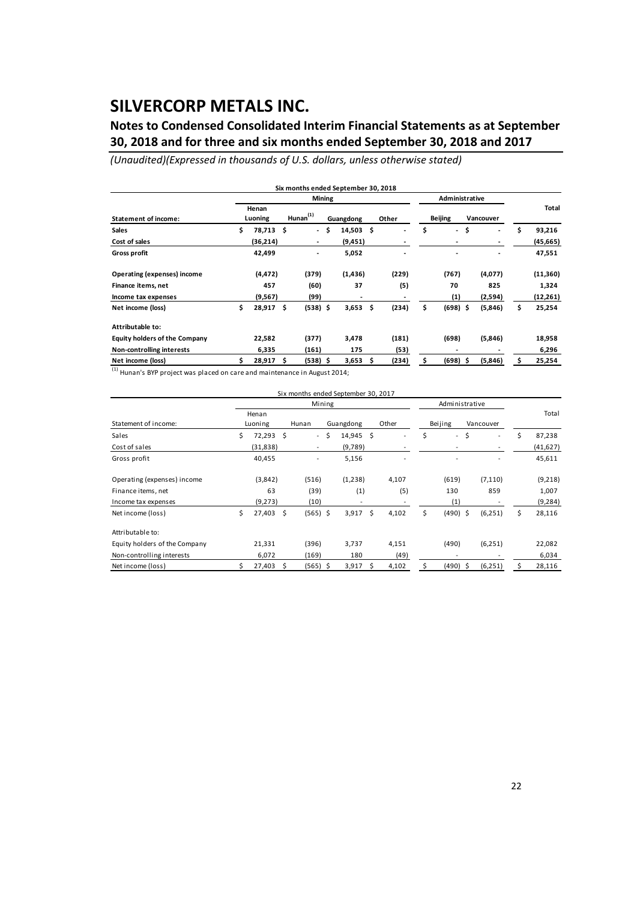### **Notes to Condensed Consolidated Interim Financial Statements as at September 30, 2018 and for three and six months ended September 30, 2018 and 2017**

*(Unaudited)(Expressed in thousands of U.S. dollars, unless otherwise stated)*

|                                      |                  |     |                | Mining |           |     |       | Administrative                 |           |              |
|--------------------------------------|------------------|-----|----------------|--------|-----------|-----|-------|--------------------------------|-----------|--------------|
| <b>Statement of income:</b>          | Henan<br>Luoning |     | $H$ unan $(1)$ |        | Guangdong |     | Other | <b>Beijing</b>                 | Vancouver | Total        |
| <b>Sales</b>                         | \$<br>78,713     | \$  | $\blacksquare$ | \$.    | 14,503    | \$. |       | \$<br>$\overline{\phantom{a}}$ | \$<br>٠   | \$<br>93,216 |
| Cost of sales                        | (36,214)         |     | -              |        | (9, 451)  |     |       |                                |           | (45, 665)    |
| <b>Gross profit</b>                  | 42,499           |     | $\blacksquare$ |        | 5,052     |     |       |                                |           | 47,551       |
| <b>Operating (expenses) income</b>   | (4, 472)         |     | (379)          |        | (1, 436)  |     | (229) | (767)                          | (4,077)   | (11, 360)    |
| Finance items, net                   | 457              |     | (60)           |        | 37        |     | (5)   | 70                             | 825       | 1,324        |
| Income tax expenses                  | (9,567)          |     | (99)           |        |           |     |       | (1)                            | (2,594)   | (12,261)     |
| Net income (loss)                    | \$<br>28,917     | \$  | $(538)$ \$     |        | 3,653     | \$  | (234) | \$<br>$(698)$ \$               | (5,846)   | \$<br>25,254 |
| Attributable to:                     |                  |     |                |        |           |     |       |                                |           |              |
| <b>Equity holders of the Company</b> | 22,582           |     | (377)          |        | 3,478     |     | (181) | (698)                          | (5,846)   | 18,958       |
| Non-controlling interests            | 6,335            |     | (161)          |        | 175       |     | (53)  | $\overline{\phantom{a}}$       |           | 6,296        |
| Net income (loss)                    | 28,917           | \$. | $(538)$ \$     |        | 3,653     | Ŝ   | (234) | \$<br>$(698)$ \$               | (5,846)   | 25,254       |

 $^{1}$  Hunan's BYP project was placed on care and maintenance in August 2014:

|                               |                  |      | Six months ended September 30, 2017 |        |           |    |       |    |                |     |                          |    |           |
|-------------------------------|------------------|------|-------------------------------------|--------|-----------|----|-------|----|----------------|-----|--------------------------|----|-----------|
|                               |                  |      |                                     | Mining |           |    |       |    | Administrative |     |                          |    |           |
| Statement of income:          | Henan<br>Luoning |      | Hunan                               |        | Guangdong |    | Other |    | Beijing        |     | Vancouver                |    | Total     |
| Sales                         | \$<br>72,293 \$  |      | $\overline{\phantom{a}}$            | Ś.     | 14,945    | \$ |       | Ś  | $\blacksquare$ | Ś   | $\overline{\phantom{a}}$ | Ś  | 87,238    |
| Cost of sales                 | (31, 838)        |      | $\overline{\phantom{a}}$            |        | (9,789)   |    |       |    |                |     |                          |    | (41, 627) |
| Gross profit                  | 40,455           |      |                                     |        | 5,156     |    |       |    |                |     |                          |    | 45,611    |
| Operating (expenses) income   | (3,842)          |      | (516)                               |        | (1,238)   |    | 4,107 |    | (619)          |     | (7, 110)                 |    | (9,218)   |
| Finance items, net            | 63               |      | (39)                                |        | (1)       |    | (5)   |    | 130            |     | 859                      |    | 1,007     |
| Income tax expenses           | (9,273)          |      | (10)                                |        | ٠         |    |       |    | (1)            |     |                          |    | (9, 284)  |
| Net income (loss)             | \$<br>27,403     | - \$ | $(565)$ \$                          |        | 3,917     | \$ | 4,102 | \$ | (490) \$       |     | (6, 251)                 | \$ | 28,116    |
| Attributable to:              |                  |      |                                     |        |           |    |       |    |                |     |                          |    |           |
| Equity holders of the Company | 21,331           |      | (396)                               |        | 3,737     |    | 4,151 |    | (490)          |     | (6, 251)                 |    | 22,082    |
| Non-controlling interests     | 6,072            |      | (169)                               |        | 180       |    | (49)  |    |                |     |                          |    | 6,034     |
| Net income (loss)             | 27,403           | S    | (565) \$                            |        | 3,917     | S  | 4,102 |    | (490)          | - S | (6, 251)                 |    | 28,116    |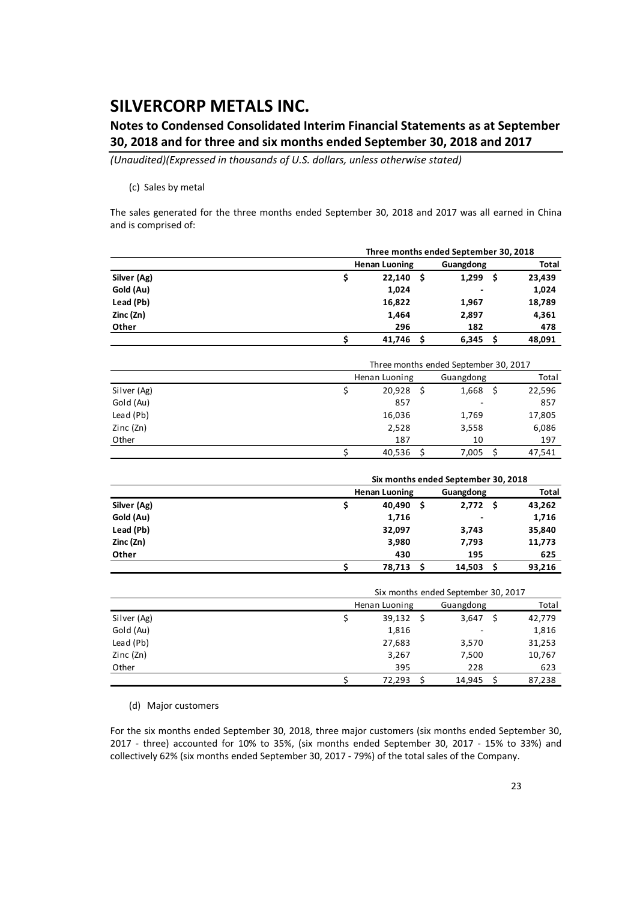### **Notes to Condensed Consolidated Interim Financial Statements as at September 30, 2018 and for three and six months ended September 30, 2018 and 2017**

*(Unaudited)(Expressed in thousands of U.S. dollars, unless otherwise stated)*

#### (c) Sales by metal

The sales generated for the three months ended September 30, 2018 and 2017 was all earned in China and is comprised of:

|             |                                     | Three months ended September 30, 2018 |    |           |     |              |  |  |  |  |
|-------------|-------------------------------------|---------------------------------------|----|-----------|-----|--------------|--|--|--|--|
|             |                                     | <b>Henan Luoning</b><br>Guangdong     |    |           |     |              |  |  |  |  |
| Silver (Ag) | \$                                  | 22,140                                | \$ | 1,299     | \$  | 23,439       |  |  |  |  |
| Gold (Au)   |                                     | 1,024                                 |    |           |     | 1,024        |  |  |  |  |
| Lead (Pb)   |                                     | 16,822                                |    | 1,967     |     | 18,789       |  |  |  |  |
| Zinc (Zn)   |                                     | 1,464                                 |    | 2,897     |     | 4,361        |  |  |  |  |
| Other       |                                     | 296                                   |    | 182       |     | 478          |  |  |  |  |
|             | \$                                  | 41,746                                | \$ | 6,345     | \$  | 48,091       |  |  |  |  |
|             |                                     |                                       |    |           |     |              |  |  |  |  |
|             |                                     | Three months ended September 30, 2017 |    |           |     |              |  |  |  |  |
|             |                                     | Henan Luoning                         |    | Guangdong |     | Total        |  |  |  |  |
| Silver (Ag) | \$                                  | 20,928                                | \$ | 1,668     | \$  | 22,596       |  |  |  |  |
| Gold (Au)   |                                     | 857                                   |    |           |     | 857          |  |  |  |  |
| Lead (Pb)   |                                     | 16,036                                |    | 1,769     |     | 17,805       |  |  |  |  |
| Zinc (Zn)   |                                     | 2,528                                 |    | 3,558     |     | 6,086        |  |  |  |  |
| Other       |                                     | 187                                   |    | 10        | 197 |              |  |  |  |  |
|             | \$                                  | 40,536                                | Ŝ. | 7,005     | \$  | 47,541       |  |  |  |  |
|             |                                     |                                       |    |           |     |              |  |  |  |  |
|             |                                     | Six months ended September 30, 2018   |    |           |     |              |  |  |  |  |
|             |                                     | <b>Henan Luoning</b>                  |    | Guangdong |     | <b>Total</b> |  |  |  |  |
| Silver (Ag) | \$                                  | 40,490                                | \$ | 2,772     | \$  | 43,262       |  |  |  |  |
| Gold (Au)   |                                     | 1,716                                 |    |           |     | 1,716        |  |  |  |  |
| Lead (Pb)   |                                     | 32,097                                |    | 3,743     |     | 35,840       |  |  |  |  |
| Zinc (Zn)   |                                     | 3,980                                 |    | 7,793     |     | 11,773       |  |  |  |  |
| Other       |                                     | 430                                   |    | 195       |     | 625          |  |  |  |  |
|             | \$                                  | 78,713                                | Ś  | 14,503    | Ś.  | 93,216       |  |  |  |  |
|             | Six months ended September 30, 2017 |                                       |    |           |     |              |  |  |  |  |
|             | Henan Luoning<br>Total<br>Guangdong |                                       |    |           |     |              |  |  |  |  |
| Silver (Ag) | \$                                  | 39,132                                | \$ | 3,647     | Ś   | 42,779       |  |  |  |  |
| Gold (Au)   |                                     | 1,816                                 |    |           |     | 1,816        |  |  |  |  |

| (d) Major customers |
|---------------------|

For the six months ended September 30, 2018, three major customers (six months ended September 30, 2017 ‐ three) accounted for 10% to 35%, (six months ended September 30, 2017 ‐ 15% to 33%) and collectively 62% (six months ended September 30, 2017 ‐ 79%) of the total sales of the Company.

Lead (Pb) 27,683 3,570 31,253 Zinc (Zn) 3,267 7,500 10,767 Other 395 228 623

 $$ 72,293 \quad $ 14,945 \quad $ 87,238$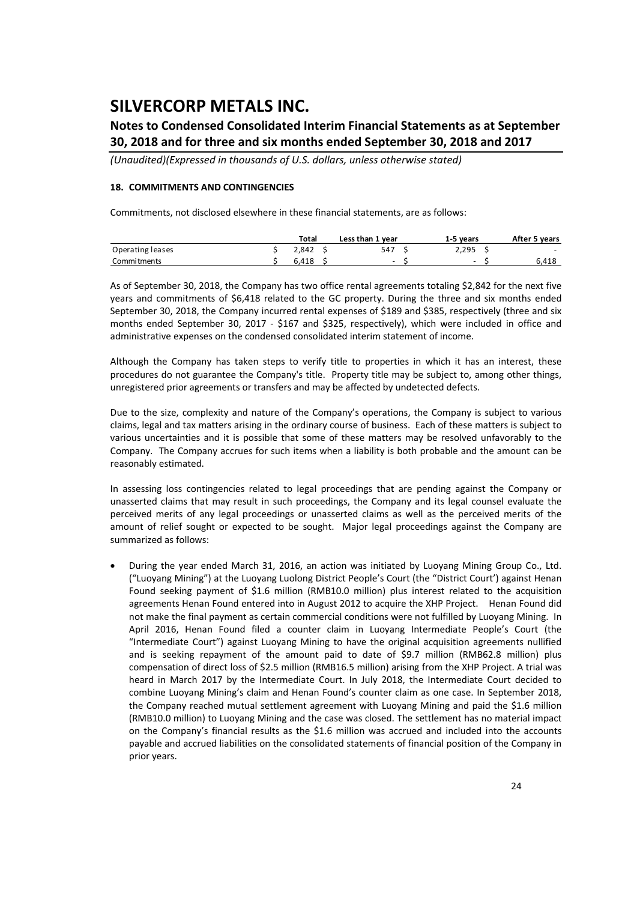### **Notes to Condensed Consolidated Interim Financial Statements as at September 30, 2018 and for three and six months ended September 30, 2018 and 2017**

*(Unaudited)(Expressed in thousands of U.S. dollars, unless otherwise stated)*

#### **18. COMMITMENTS AND CONTINGENCIES**

Commitments, not disclosed elsewhere in these financial statements, are as follows:

|                  | Total<br>Less than 1 year |       |  |        |  | 1-5 years                | After 5 years |                          |
|------------------|---------------------------|-------|--|--------|--|--------------------------|---------------|--------------------------|
| Operating leases |                           | 2.842 |  | 547    |  | 2.295                    |               | $\overline{\phantom{0}}$ |
| Commitments      |                           | 6.418 |  | $\sim$ |  | $\overline{\phantom{0}}$ |               | 6,418                    |

As of September 30, 2018, the Company has two office rental agreements totaling \$2,842 for the next five years and commitments of \$6,418 related to the GC property. During the three and six months ended September 30, 2018, the Company incurred rental expenses of \$189 and \$385, respectively (three and six months ended September 30, 2017 - \$167 and \$325, respectively), which were included in office and administrative expenses on the condensed consolidated interim statement of income.

Although the Company has taken steps to verify title to properties in which it has an interest, these procedures do not guarantee the Company's title. Property title may be subject to, among other things, unregistered prior agreements or transfers and may be affected by undetected defects.

Due to the size, complexity and nature of the Company's operations, the Company is subject to various claims, legal and tax matters arising in the ordinary course of business. Each of these matters is subject to various uncertainties and it is possible that some of these matters may be resolved unfavorably to the Company. The Company accrues for such items when a liability is both probable and the amount can be reasonably estimated.

In assessing loss contingencies related to legal proceedings that are pending against the Company or unasserted claims that may result in such proceedings, the Company and its legal counsel evaluate the perceived merits of any legal proceedings or unasserted claims as well as the perceived merits of the amount of relief sought or expected to be sought. Major legal proceedings against the Company are summarized as follows:

 During the year ended March 31, 2016, an action was initiated by Luoyang Mining Group Co., Ltd. ("Luoyang Mining") at the Luoyang Luolong District People's Court (the "District Court') against Henan Found seeking payment of \$1.6 million (RMB10.0 million) plus interest related to the acquisition agreements Henan Found entered into in August 2012 to acquire the XHP Project. Henan Found did not make the final payment as certain commercial conditions were not fulfilled by Luoyang Mining. In April 2016, Henan Found filed a counter claim in Luoyang Intermediate People's Court (the "Intermediate Court") against Luoyang Mining to have the original acquisition agreements nullified and is seeking repayment of the amount paid to date of \$9.7 million (RMB62.8 million) plus compensation of direct loss of \$2.5 million (RMB16.5 million) arising from the XHP Project. A trial was heard in March 2017 by the Intermediate Court. In July 2018, the Intermediate Court decided to combine Luoyang Mining's claim and Henan Found's counter claim as one case. In September 2018, the Company reached mutual settlement agreement with Luoyang Mining and paid the \$1.6 million (RMB10.0 million) to Luoyang Mining and the case was closed. The settlement has no material impact on the Company's financial results as the \$1.6 million was accrued and included into the accounts payable and accrued liabilities on the consolidated statements of financial position of the Company in prior years.